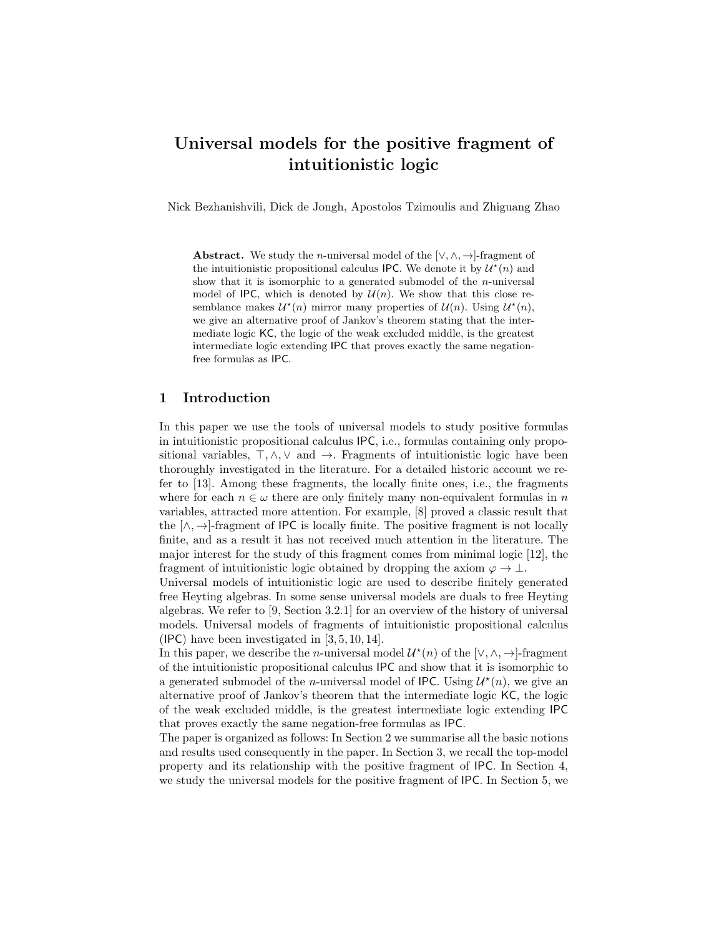# Universal models for the positive fragment of intuitionistic logic

Nick Bezhanishvili, Dick de Jongh, Apostolos Tzimoulis and Zhiguang Zhao

**Abstract.** We study the *n*-universal model of the [ $\vee, \wedge, \rightarrow$ ]-fragment of the intuitionistic propositional calculus IPC. We denote it by  $\mathcal{U}^*(n)$  and show that it is isomorphic to a generated submodel of the *n*-universal model of IPC, which is denoted by  $\mathcal{U}(n)$ . We show that this close resemblance makes  $\mathcal{U}^*(n)$  mirror many properties of  $\mathcal{U}(n)$ . Using  $\mathcal{U}^*(n)$ , we give an alternative proof of Jankov's theorem stating that the intermediate logic KC, the logic of the weak excluded middle, is the greatest intermediate logic extending IPC that proves exactly the same negationfree formulas as IPC.

### 1 Introduction

In this paper we use the tools of universal models to study positive formulas in intuitionistic propositional calculus IPC, i.e., formulas containing only propositional variables,  $\top, \wedge, \vee$  and  $\rightarrow$ . Fragments of intuitionistic logic have been thoroughly investigated in the literature. For a detailed historic account we refer to [13]. Among these fragments, the locally finite ones, i.e., the fragments where for each  $n \in \omega$  there are only finitely many non-equivalent formulas in n variables, attracted more attention. For example, [8] proved a classic result that the  $[\wedge, \rightarrow]$ -fragment of IPC is locally finite. The positive fragment is not locally finite, and as a result it has not received much attention in the literature. The major interest for the study of this fragment comes from minimal logic [12], the fragment of intuitionistic logic obtained by dropping the axiom  $\varphi \to \bot$ .

Universal models of intuitionistic logic are used to describe finitely generated free Heyting algebras. In some sense universal models are duals to free Heyting algebras. We refer to [9, Section 3.2.1] for an overview of the history of universal models. Universal models of fragments of intuitionistic propositional calculus (IPC) have been investigated in [3, 5, 10, 14].

In this paper, we describe the *n*-universal model  $\mathcal{U}^*(n)$  of the  $[\vee, \wedge, \rightarrow]$ -fragment of the intuitionistic propositional calculus IPC and show that it is isomorphic to a generated submodel of the *n*-universal model of IPC. Using  $\mathcal{U}^*(n)$ , we give an alternative proof of Jankov's theorem that the intermediate logic KC, the logic of the weak excluded middle, is the greatest intermediate logic extending IPC that proves exactly the same negation-free formulas as IPC.

The paper is organized as follows: In Section 2 we summarise all the basic notions and results used consequently in the paper. In Section 3, we recall the top-model property and its relationship with the positive fragment of IPC. In Section 4, we study the universal models for the positive fragment of IPC. In Section 5, we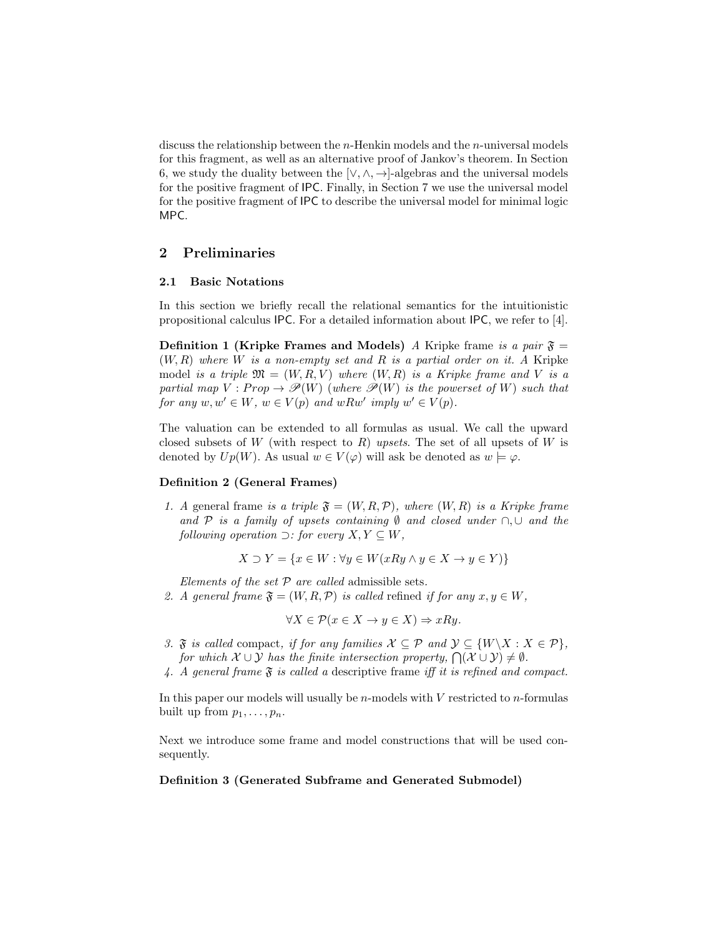discuss the relationship between the  $n$ -Henkin models and the  $n$ -universal models for this fragment, as well as an alternative proof of Jankov's theorem. In Section 6, we study the duality between the  $[\vee, \wedge, \rightarrow]$ -algebras and the universal models for the positive fragment of IPC. Finally, in Section 7 we use the universal model for the positive fragment of IPC to describe the universal model for minimal logic MPC.

# 2 Preliminaries

#### 2.1 Basic Notations

In this section we briefly recall the relational semantics for the intuitionistic propositional calculus IPC. For a detailed information about IPC, we refer to [4].

**Definition 1 (Kripke Frames and Models)** A Kripke frame is a pair  $\mathfrak{F} =$  $(W, R)$  where W is a non-empty set and R is a partial order on it. A Kripke model is a triple  $\mathfrak{M} = (W, R, V)$  where  $(W, R)$  is a Kripke frame and V is a partial map  $V : Prop \to \mathcal{P}(W)$  (where  $\mathcal{P}(W)$  is the powerset of W) such that for any  $w, w' \in W$ ,  $w \in V(p)$  and  $wRw'$  imply  $w' \in V(p)$ .

The valuation can be extended to all formulas as usual. We call the upward closed subsets of W (with respect to R) upsets. The set of all upsets of W is denoted by  $Up(W)$ . As usual  $w \in V(\varphi)$  will ask be denoted as  $w \models \varphi$ .

#### Definition 2 (General Frames)

1. A general frame is a triple  $\mathfrak{F} = (W, R, \mathcal{P})$ , where  $(W, R)$  is a Kripke frame and P is a family of upsets containing  $\emptyset$  and closed under  $\cap$ ,  $\cup$  and the following operation  $\supset$ : for every  $X, Y \subseteq W$ ,

$$
X \supset Y = \{ x \in W : \forall y \in W(xRy \land y \in X \to y \in Y) \}
$$

Elements of the set  $P$  are called admissible sets.

2. A general frame  $\mathfrak{F} = (W, R, \mathcal{P})$  is called refined if for any  $x, y \in W$ ,

$$
\forall X \in \mathcal{P}(x \in X \to y \in X) \Rightarrow xRy.
$$

- 3.  $\mathfrak{F}$  is called compact, if for any families  $\mathcal{X} \subseteq \mathcal{P}$  and  $\mathcal{Y} \subseteq \{W \setminus X : X \in \mathcal{P}\},\$ for which  $\mathcal{X} \cup \mathcal{Y}$  has the finite intersection property,  $\bigcap (\mathcal{X} \cup \mathcal{Y}) \neq \emptyset$ .
- 4. A general frame  $\mathfrak F$  is called a descriptive frame iff it is refined and compact.

In this paper our models will usually be  $n$ -models with  $V$  restricted to  $n$ -formulas built up from  $p_1, \ldots, p_n$ .

Next we introduce some frame and model constructions that will be used consequently.

#### Definition 3 (Generated Subframe and Generated Submodel)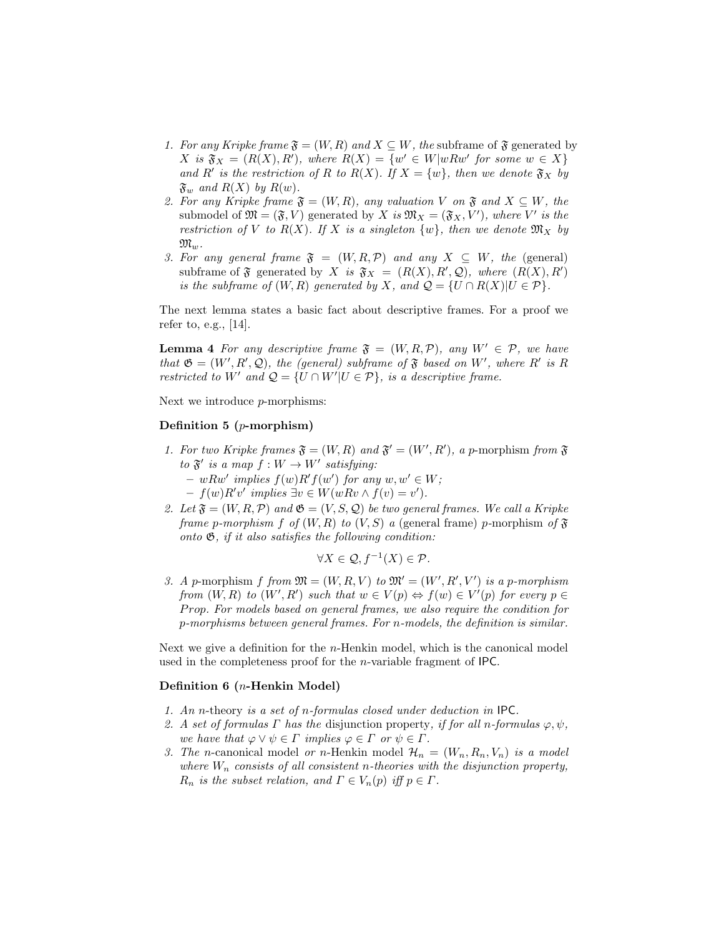- 1. For any Kripke frame  $\mathfrak{F} = (W, R)$  and  $X \subseteq W$ , the subframe of  $\mathfrak{F}$  generated by  $X$  is  $\mathfrak{F}_X = (R(X), R')$ , where  $R(X) = \{w' \in W | w R w' \text{ for some } w \in X\}$ and R' is the restriction of R to R(X). If  $X = \{w\}$ , then we denote  $\mathfrak{F}_X$  by  $\mathfrak{F}_w$  and  $R(X)$  by  $R(w)$ .
- 2. For any Kripke frame  $\mathfrak{F} = (W, R)$ , any valuation V on  $\mathfrak{F}$  and  $X \subseteq W$ , the submodel of  $\mathfrak{M} = (\mathfrak{F}, V)$  generated by X is  $\mathfrak{M}_X = (\mathfrak{F}_X, V')$ , where V' is the restriction of V to R(X). If X is a singleton  $\{w\}$ , then we denote  $\mathfrak{M}_X$  by  $\mathfrak{M}_m$ .
- 3. For any general frame  $\mathfrak{F} = (W, R, \mathcal{P})$  and any  $X \subseteq W$ , the (general) subframe of  $\mathfrak{F}$  generated by X is  $\mathfrak{F}_X = (R(X), R', \mathcal{Q})$ , where  $(R(X), R')$ is the subframe of  $(W, R)$  generated by X, and  $Q = \{U \cap R(X) | U \in \mathcal{P}\}.$

The next lemma states a basic fact about descriptive frames. For a proof we refer to, e.g., [14].

**Lemma 4** For any descriptive frame  $\mathfrak{F} = (W, R, \mathcal{P})$ , any  $W' \in \mathcal{P}$ , we have that  $\mathfrak{G} = (W', R', Q)$ , the (general) subframe of  $\mathfrak F$  based on W', where R' is R restricted to W' and  $Q = \{U \cap W'| U \in \mathcal{P}\},\$  is a descriptive frame.

Next we introduce p-morphisms:

#### Definition 5 ( $p$ -morphism)

- 1. For two Kripke frames  $\mathfrak{F} = (W, R)$  and  $\mathfrak{F}' = (W', R')$ , a p-morphism from  $\mathfrak{F}$ to  $\mathfrak{F}'$  is a map  $f: W \to W'$  satisfying:
	- $wRw'$  implies  $f(w)R'f(w')$  for any  $w, w' \in W;$
	- $-f(w)R'v'$  implies  $\exists v \in W(wRv \wedge f(v) = v')$ .
- 2. Let  $\mathfrak{F} = (W, R, \mathcal{P})$  and  $\mathfrak{G} = (V, S, \mathcal{Q})$  be two general frames. We call a Kripke frame p-morphism f of  $(W, R)$  to  $(V, S)$  a (general frame) p-morphism of  $\mathfrak F$ onto  $\mathfrak{G}$ , if it also satisfies the following condition:

$$
\forall X \in \mathcal{Q}, f^{-1}(X) \in \mathcal{P}.
$$

3. A p-morphism f from  $\mathfrak{M} = (W, R, V)$  to  $\mathfrak{M}' = (W', R', V')$  is a p-morphism from  $(W, R)$  to  $(W', R')$  such that  $w \in V(p) \Leftrightarrow f(w) \in V'(p)$  for every  $p \in$ Prop. For models based on general frames, we also require the condition for p-morphisms between general frames. For n-models, the definition is similar.

Next we give a definition for the n-Henkin model, which is the canonical model used in the completeness proof for the n-variable fragment of IPC.

#### Definition 6 (n-Henkin Model)

- 1. An n-theory is a set of n-formulas closed under deduction in IPC.
- 2. A set of formulas Γ has the disjunction property, if for all n-formulas  $\varphi, \psi$ , we have that  $\varphi \vee \psi \in \Gamma$  implies  $\varphi \in \Gamma$  or  $\psi \in \Gamma$ .
- 3. The n-canonical model or n-Henkin model  $\mathcal{H}_n = (W_n, R_n, V_n)$  is a model where  $W_n$  consists of all consistent n-theories with the disjunction property,  $R_n$  is the subset relation, and  $\Gamma \in V_n(p)$  iff  $p \in \Gamma$ .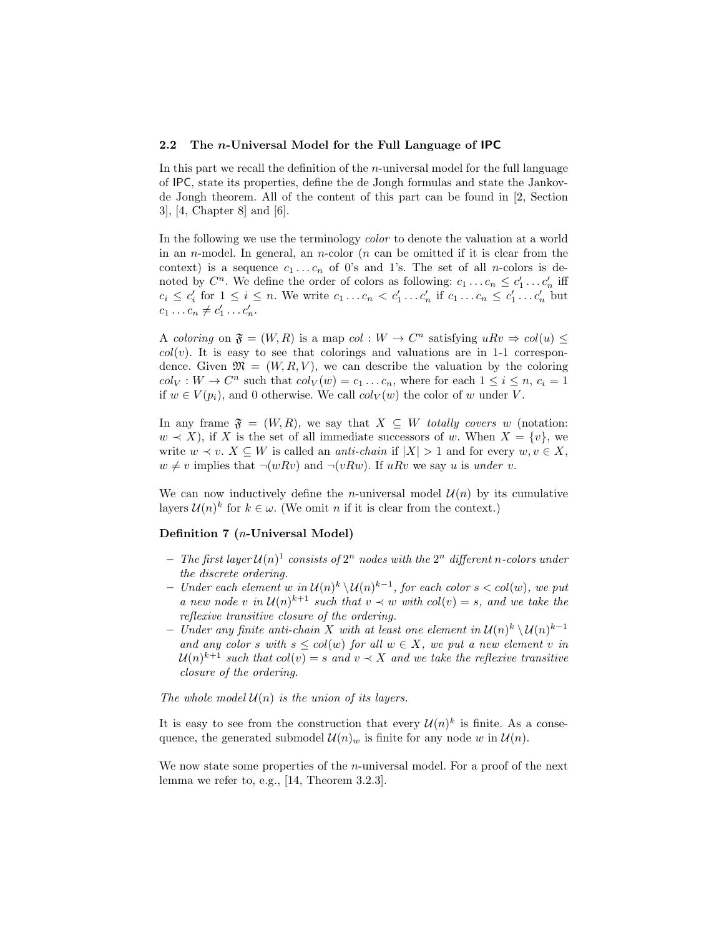#### 2.2 The n-Universal Model for the Full Language of IPC

In this part we recall the definition of the  $n$ -universal model for the full language of IPC, state its properties, define the de Jongh formulas and state the Jankovde Jongh theorem. All of the content of this part can be found in [2, Section 3], [4, Chapter 8] and [6].

In the following we use the terminology color to denote the valuation at a world in an *n*-model. In general, an *n*-color (*n* can be omitted if it is clear from the context) is a sequence  $c_1 \ldots c_n$  of 0's and 1's. The set of all *n*-colors is denoted by  $C^n$ . We define the order of colors as following:  $c_1 \ldots c_n \leq c'_1 \ldots c'_n$  iff  $c_i \leq c'_i$  for  $1 \leq i \leq n$ . We write  $c_1 \ldots c_n < c'_1 \ldots c'_n$  if  $c_1 \ldots c_n \leq c'_1 \ldots c'_n$  but  $c_1 \ldots c_n \neq c'_1 \ldots c'_n.$ 

A coloring on  $\mathfrak{F} = (W, R)$  is a map col :  $W \to C^n$  satisfying  $uRv \Rightarrow col(u) \leq$  $col(v)$ . It is easy to see that colorings and valuations are in 1-1 correspondence. Given  $\mathfrak{M} = (W, R, V)$ , we can describe the valuation by the coloring  $col_V: W \to C^n$  such that  $col_V(w) = c_1 \dots c_n$ , where for each  $1 \le i \le n$ ,  $c_i = 1$ if  $w \in V(p_i)$ , and 0 otherwise. We call  $col_V(w)$  the color of w under V.

In any frame  $\mathfrak{F} = (W, R)$ , we say that  $X \subseteq W$  totally covers w (notation:  $w \prec X$ ), if X is the set of all immediate successors of w. When  $X = \{v\}$ , we write  $w \prec v$ .  $X \subseteq W$  is called an *anti-chain* if  $|X| > 1$  and for every  $w, v \in X$ ,  $w \neq v$  implies that  $\neg(wRv)$  and  $\neg(vRw)$ . If uRv we say u is under v.

We can now inductively define the *n*-universal model  $\mathcal{U}(n)$  by its cumulative layers  $\mathcal{U}(n)^k$  for  $k \in \omega$ . (We omit n if it is clear from the context.)

#### Definition 7 (n-Universal Model)

- The first layer  $\mathcal{U}(n)^1$  consists of  $2^n$  nodes with the  $2^n$  different n-colors under the discrete ordering.
- − Under each element w in  $\mathcal{U}(n)$ <sup>k</sup> $\setminus \mathcal{U}(n)$ <sup>k-1</sup>, for each color s < col(w), we put a new node v in  $\mathcal{U}(n)^{k+1}$  such that  $v \prec w$  with  $col(v) = s$ , and we take the reflexive transitive closure of the ordering.
- − Under any finite anti-chain X with at least one element in  $\mathcal{U}(n)^k \setminus \mathcal{U}(n)^{k-1}$ and any color s with  $s \leq col(w)$  for all  $w \in X$ , we put a new element v in  $\mathcal{U}(n)^{k+1}$  such that  $col(v) = s$  and  $v \prec X$  and we take the reflexive transitive closure of the ordering.

The whole model  $\mathcal{U}(n)$  is the union of its layers.

It is easy to see from the construction that every  $\mathcal{U}(n)^k$  is finite. As a consequence, the generated submodel  $\mathcal{U}(n)_{w}$  is finite for any node w in  $\mathcal{U}(n)$ .

We now state some properties of the *n*-universal model. For a proof of the next lemma we refer to, e.g., [14, Theorem 3.2.3].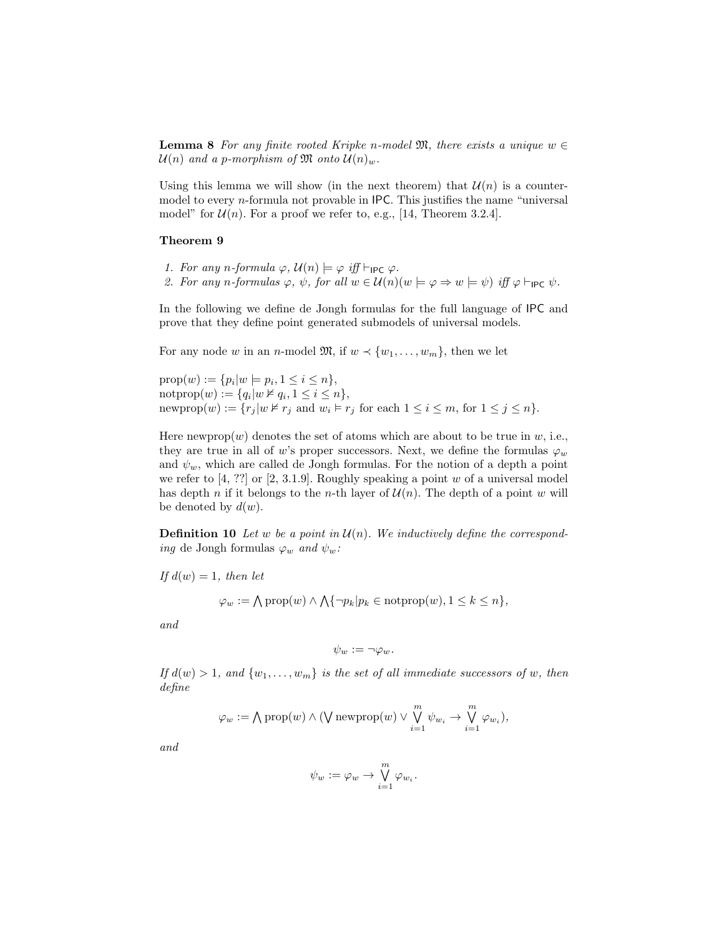**Lemma 8** For any finite rooted Kripke n-model  $\mathfrak{M}$ , there exists a unique  $w \in$  $\mathcal{U}(n)$  and a p-morphism of  $\mathfrak{M}$  onto  $\mathcal{U}(n)_{w}$ .

Using this lemma we will show (in the next theorem) that  $\mathcal{U}(n)$  is a countermodel to every  $n$ -formula not provable in IPC. This justifies the name "universal model" for  $\mathcal{U}(n)$ . For a proof we refer to, e.g., [14, Theorem 3.2.4].

#### Theorem 9

- 1. For any n-formula  $\varphi$ ,  $\mathcal{U}(n) \models \varphi$  iff  $\vdash_{\mathsf{IPC}} \varphi$ .
- 2. For any n-formulas  $\varphi$ ,  $\psi$ , for all  $w \in \mathcal{U}(n)(w \models \varphi \Rightarrow w \models \psi)$  iff  $\varphi \vdash_{\mathsf{IPC}} \psi$ .

In the following we define de Jongh formulas for the full language of IPC and prove that they define point generated submodels of universal models.

For any node w in an n-model  $\mathfrak{M}$ , if  $w \prec \{w_1, \ldots, w_m\}$ , then we let

 $prop(w) := \{p_i | w \models p_i, 1 \le i \le n\},\$ notprop $(w) := \{q_i | w \nvDash q_i, 1 \leq i \leq n\},\$ newprop $(w) := \{r_j | w \not\vdash r_j \text{ and } w_i \models r_j \text{ for each } 1 \leq i \leq m, \text{ for } 1 \leq j \leq n\}.$ 

Here newprop $(w)$  denotes the set of atoms which are about to be true in w, i.e., they are true in all of w's proper successors. Next, we define the formulas  $\varphi_w$ and  $\psi_w$ , which are called de Jongh formulas. For the notion of a depth a point we refer to  $[4, ?$ ? or  $[2, 3.1.9]$ . Roughly speaking a point w of a universal model has depth n if it belongs to the n-th layer of  $\mathcal{U}(n)$ . The depth of a point w will be denoted by  $d(w)$ .

**Definition 10** Let w be a point in  $\mathcal{U}(n)$ . We inductively define the correspond*ing* de Jongh formulas  $\varphi_w$  *and*  $\psi_w$ :

If  $d(w) = 1$ , then let

$$
\varphi_w := \bigwedge \text{prop}(w) \land \bigwedge \{\neg p_k | p_k \in \text{notprop}(w), 1 \leq k \leq n\},\
$$

and

$$
\psi_w := \neg \varphi_w.
$$

If  $d(w) > 1$ , and  $\{w_1, \ldots, w_m\}$  is the set of all immediate successors of w, then define

$$
\varphi_w := \bigwedge \text{prop}(w) \land (\bigvee \text{newprop}(w) \lor \bigvee_{i=1}^m \psi_{w_i} \rightarrow \bigvee_{i=1}^m \varphi_{w_i}),
$$

and

$$
\psi_w := \varphi_w \to \bigvee_{i=1}^m \varphi_{w_i}.
$$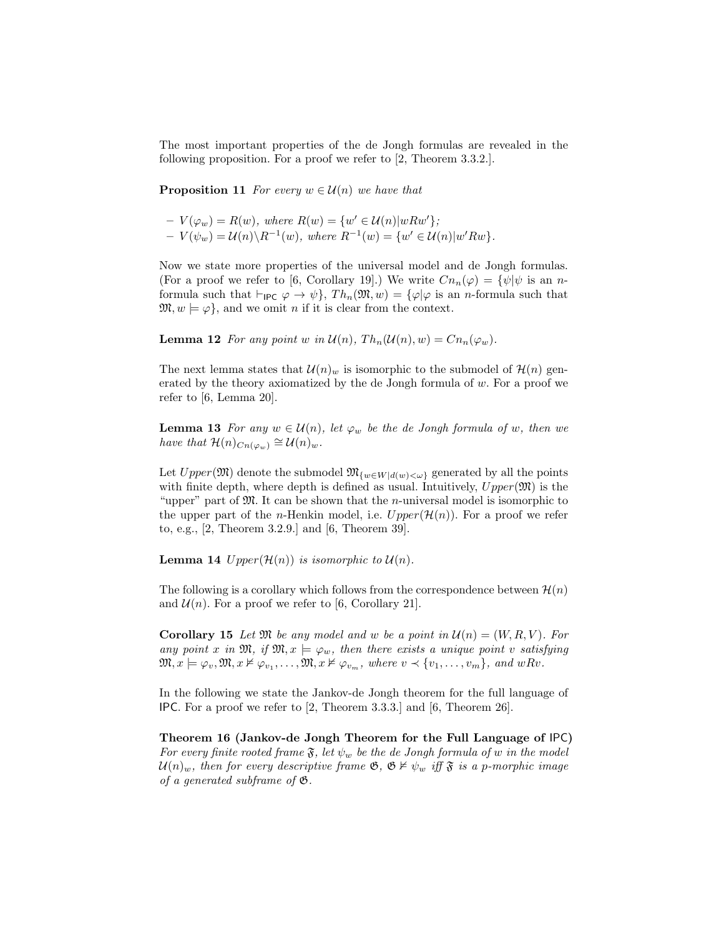The most important properties of the de Jongh formulas are revealed in the following proposition. For a proof we refer to [2, Theorem 3.3.2.].

**Proposition 11** For every  $w \in \mathcal{U}(n)$  we have that

$$
- V(\varphi_w) = R(w), where R(w) = \{w' \in \mathcal{U}(n)|wRw'\};
$$
  

$$
- V(\psi_w) = \mathcal{U}(n) \setminus R^{-1}(w), where R^{-1}(w) = \{w' \in \mathcal{U}(n)|w'Rw\}.
$$

Now we state more properties of the universal model and de Jongh formulas. (For a proof we refer to [6, Corollary 19].) We write  $Cn_n(\varphi) = {\psi|\psi \text{ is an } n$ formula such that  $\vdash_{\mathsf{IPC}} \varphi \to \psi$ ,  $Th_n(\mathfrak{M}, w) = \{\varphi | \varphi \text{ is an } n\text{-formula such that }$  $\mathfrak{M}, w \models \varphi$ , and we omit *n* if it is clear from the context.

**Lemma 12** For any point w in  $\mathcal{U}(n)$ ,  $Th_n(\mathcal{U}(n), w) = Cn_n(\varphi_w)$ .

The next lemma states that  $\mathcal{U}(n)_{w}$  is isomorphic to the submodel of  $\mathcal{H}(n)$  generated by the theory axiomatized by the de Jongh formula of  $w$ . For a proof we refer to [6, Lemma 20].

**Lemma 13** For any  $w \in \mathcal{U}(n)$ , let  $\varphi_w$  be the de Jongh formula of w, then we have that  $\mathcal{H}(n)_{C_n(\varphi_w)} \cong \mathcal{U}(n)_w$ .

Let  $Upper(\mathfrak{M})$  denote the submodel  $\mathfrak{M}_{\{w \in W | d(w) < \omega\}}$  generated by all the points with finite depth, where depth is defined as usual. Intuitively,  $Upper(\mathfrak{M})$  is the "upper" part of  $\mathfrak{M}$ . It can be shown that the *n*-universal model is isomorphic to the upper part of the *n*-Henkin model, i.e.  $Upper(\mathcal{H}(n))$ . For a proof we refer to, e.g., [2, Theorem 3.2.9.] and [6, Theorem 39].

**Lemma 14** Upper $(\mathcal{H}(n))$  is isomorphic to  $\mathcal{U}(n)$ .

The following is a corollary which follows from the correspondence between  $\mathcal{H}(n)$ and  $\mathcal{U}(n)$ . For a proof we refer to [6, Corollary 21].

**Corollary 15** Let  $\mathfrak{M}$  be any model and w be a point in  $\mathcal{U}(n) = (W, R, V)$ . For any point x in  $\mathfrak{M}$ , if  $\mathfrak{M}, x \models \varphi_w$ , then there exists a unique point v satisfying  $\mathfrak{M}, x \models \varphi_v, \mathfrak{M}, x \nvDash \varphi_{v_1}, \ldots, \mathfrak{M}, x \nvDash \varphi_{v_m}, \text{ where } v \prec \{v_1, \ldots, v_m\}, \text{ and } wRv.$ 

In the following we state the Jankov-de Jongh theorem for the full language of IPC. For a proof we refer to [2, Theorem 3.3.3.] and [6, Theorem 26].

Theorem 16 (Jankov-de Jongh Theorem for the Full Language of IPC) For every finite rooted frame  $\mathfrak{F}$ , let  $\psi_w$  be the de Jongh formula of w in the model  $\mathcal{U}(n)_{w}$ , then for every descriptive frame  $\mathfrak{G}, \mathfrak{G} \nvDash \psi_{w}$  iff  $\mathfrak{F}$  is a p-morphic image of a generated subframe of  $\mathfrak{G}.$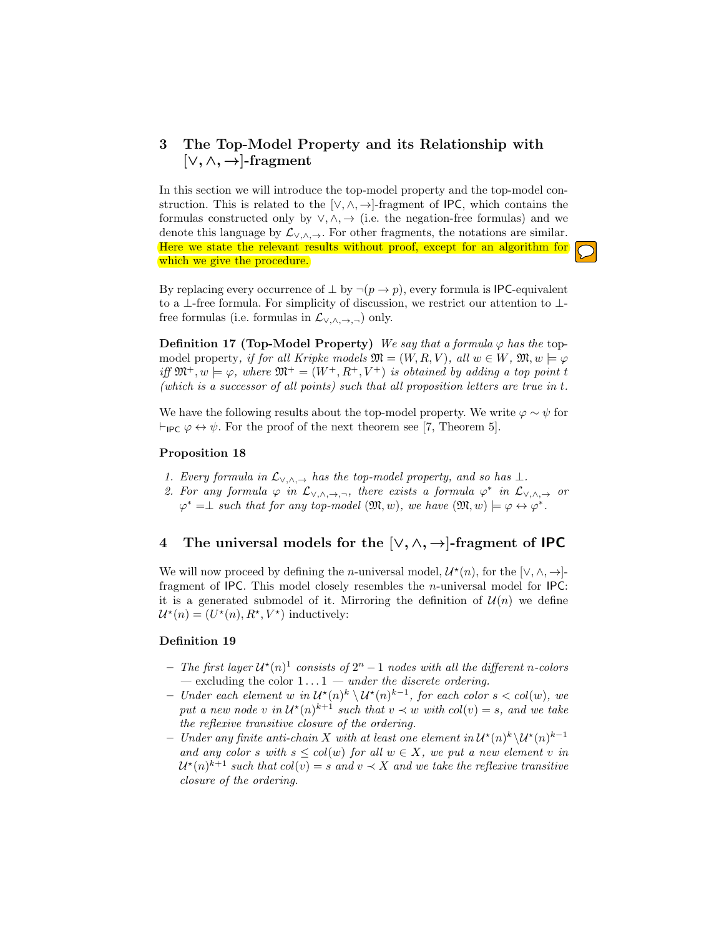# 3 The Top-Model Property and its Relationship with  $[\vee, \wedge, \rightarrow]$ -fragment

In this section we will introduce the top-model property and the top-model construction. This is related to the [ $\vee, \wedge, \rightarrow$ ]-fragment of IPC, which contains the formulas constructed only by  $\vee, \wedge, \rightarrow$  (i.e. the negation-free formulas) and we denote this language by  $\mathcal{L}_{\vee,\wedge,\rightarrow}$ . For other fragments, the notations are similar. Here we state the relevant results without proof, except for an algorithm for which we give the procedure.

By replacing every occurrence of  $\perp$  by  $\neg (p \rightarrow p)$ , every formula is IPC-equivalent to a ⊥-free formula. For simplicity of discussion, we restrict our attention to ⊥ free formulas (i.e. formulas in  $\mathcal{L}_{\vee,\wedge,\rightarrow,\neg}$ ) only.

**Definition 17 (Top-Model Property)** We say that a formula  $\varphi$  has the topmodel property, if for all Kripke models  $\mathfrak{M} = (W, R, V)$ , all  $w \in W$ ,  $\mathfrak{M}, w \models \varphi$ iff  $\mathfrak{M}^+$ ,  $w \models \varphi$ , where  $\mathfrak{M}^+ = (W^+, R^+, V^+)$  is obtained by adding a top point t (which is a successor of all points) such that all proposition letters are true in t.

We have the following results about the top-model property. We write  $\varphi \sim \psi$  for  $\vdash_{\mathsf{IPC}} \varphi \leftrightarrow \psi$ . For the proof of the next theorem see [7, Theorem 5].

#### Proposition 18

- 1. Every formula in  $\mathcal{L}_{\vee,\wedge,\rightarrow}$  has the top-model property, and so has  $\perp$ .
- 2. For any formula  $\varphi$  in  $\mathcal{L}_{\vee,\wedge,\rightarrow,\neg}$ , there exists a formula  $\varphi^*$  in  $\mathcal{L}_{\vee,\wedge,\rightarrow}$  or  $\varphi^* = \perp$  such that for any top-model  $(\mathfrak{M}, w)$ , we have  $(\mathfrak{M}, w) \models \varphi \leftrightarrow \varphi^*$ .

# 4 The universal models for the  $[\vee, \wedge, \rightarrow]$ -fragment of **IPC**

We will now proceed by defining the *n*-universal model,  $\mathcal{U}^*(n)$ , for the [ $\vee, \wedge, \rightarrow$ ]fragment of IPC. This model closely resembles the n-universal model for IPC: it is a generated submodel of it. Mirroring the definition of  $\mathcal{U}(n)$  we define  $\mathcal{U}^{\star}(n) = (U^{\star}(n), R^{\star}, V^{\star})$  inductively:

#### Definition 19

- The first layer  $\mathcal{U}^*(n)^1$  consists of  $2^n 1$  nodes with all the different n-colors — excluding the color  $1 \dots 1$  — under the discrete ordering.
- − Under each element w in  $\mathcal{U}^*(n)$ <sup>k</sup>  $\setminus \mathcal{U}^*(n)$ <sup>k-1</sup>, for each color s < col(w), we put a new node v in  $\mathcal{U}^*(n)^{k+1}$  such that  $v \prec w$  with  $col(v) = s$ , and we take the reflexive transitive closure of the ordering.
- − Under any finite anti-chain X with at least one element in  $\mathcal{U}^{\star}(n)^{k} \setminus \mathcal{U}^{\star}(n)^{k-1}$ and any color s with  $s \leq col(w)$  for all  $w \in X$ , we put a new element v in  $\mathcal{U}^\star(n)^{k+1}$  such that  $col(v) = s$  and  $v \prec X$  and we take the reflexive transitive closure of the ordering.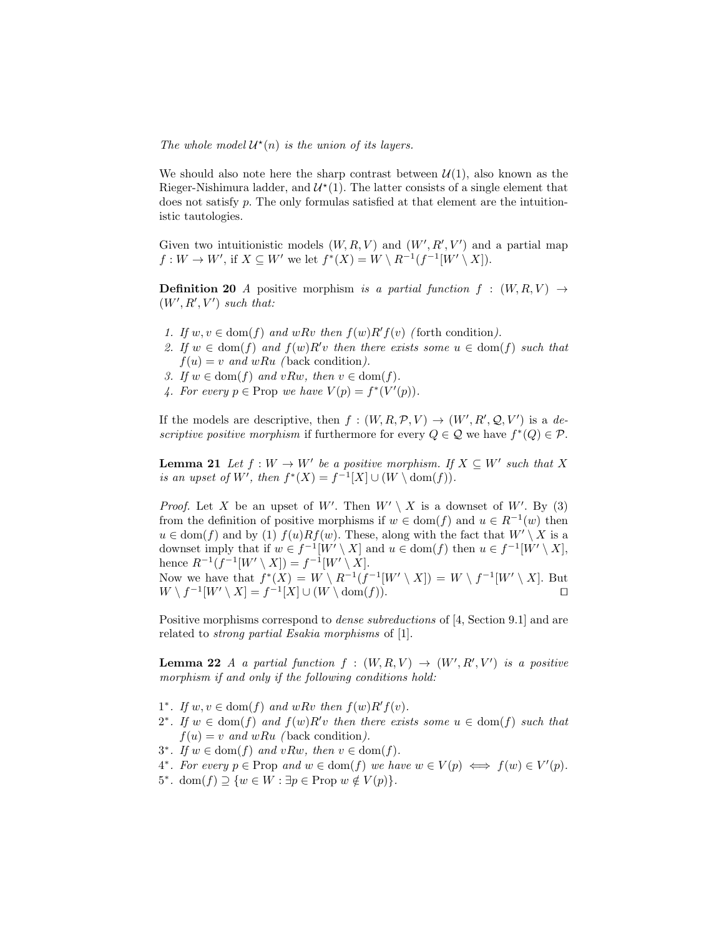The whole model  $\mathcal{U}^*(n)$  is the union of its layers.

We should also note here the sharp contrast between  $\mathcal{U}(1)$ , also known as the Rieger-Nishimura ladder, and  $\mathcal{U}^*(1)$ . The latter consists of a single element that does not satisfy p. The only formulas satisfied at that element are the intuitionistic tautologies.

Given two intuitionistic models  $(W, R, V)$  and  $(W', R', V')$  and a partial map  $f: W \to W'$ , if  $X \subseteq W'$  we let  $f^*(X) = W \setminus R^{-1}(f^{-1}[W' \setminus X])$ .

**Definition 20** A positive morphism is a partial function  $f : (W, R, V) \rightarrow$  $(W', R', V')$  such that:

- 1. If  $w, v \in \text{dom}(f)$  and  $wRv$  then  $f(w)R'f(v)$  (forth condition).
- 2. If  $w \in \text{dom}(f)$  and  $f(w)R'v$  then there exists some  $u \in \text{dom}(f)$  such that  $f(u) = v$  and wRu (back condition).
- 3. If  $w \in \text{dom}(f)$  and  $vRw$ , then  $v \in \text{dom}(f)$ .
- 4. For every  $p \in \text{Prop we have } V(p) = f^*(V'(p)).$

If the models are descriptive, then  $f : (W, R, \mathcal{P}, V) \to (W', R', \mathcal{Q}, V')$  is a descriptive positive morphism if furthermore for every  $Q \in \mathcal{Q}$  we have  $f^*(Q) \in \mathcal{P}$ .

**Lemma 21** Let  $f: W \to W'$  be a positive morphism. If  $X \subseteq W'$  such that X is an upset of W', then  $f^*(X) = f^{-1}[X] \cup (W \setminus \text{dom}(f)).$ 

*Proof.* Let X be an upset of W'. Then  $W' \setminus X$  is a downset of W'. By (3) from the definition of positive morphisms if  $w \in \text{dom}(f)$  and  $u \in R^{-1}(w)$  then  $u \in \text{dom}(f)$  and by (1)  $f(u)Rf(w)$ . These, along with the fact that  $W' \setminus X$  is a downset imply that if  $w \in f^{-1}[W' \setminus X]$  and  $u \in \text{dom}(f)$  then  $u \in f^{-1}[W' \setminus X]$ , hence  $R^{-1}(f^{-1}[W' \setminus X]) = f^{-1}[W' \setminus X].$ Now we have that  $f^*(X) = W \setminus R^{-1}(f^{-1}[W' \setminus X]) = W \setminus f^{-1}[W' \setminus X]$ . But  $W \setminus f^{-1}[W' \setminus X] = f^{-1}[X] \cup (W \setminus \text{dom}(f)).$ 

Positive morphisms correspond to dense subreductions of [4, Section 9.1] and are related to strong partial Esakia morphisms of [1].

**Lemma 22** A a partial function  $f : (W, R, V) \rightarrow (W', R', V')$  is a positive morphism if and only if the following conditions hold:

- 1<sup>\*</sup>. If  $w, v \in \text{dom}(f)$  and  $wRv$  then  $f(w)R'f(v)$ .
- 2<sup>\*</sup>. If  $w \in \text{dom}(f)$  and  $f(w)R'v$  then there exists some  $u \in \text{dom}(f)$  such that  $f(u) = v$  and wRu (back condition).
- 3<sup>\*</sup>. If  $w \in \text{dom}(f)$  and  $vRw$ , then  $v \in \text{dom}(f)$ .
- 4<sup>\*</sup>. For every  $p \in \text{Prop}$  and  $w \in \text{dom}(f)$  we have  $w \in V(p) \iff f(w) \in V'(p)$ .
- 5<sup>\*</sup>. dom $(f) \supseteq \{w \in W : \exists p \in \text{Prop } w \notin V(p)\}.$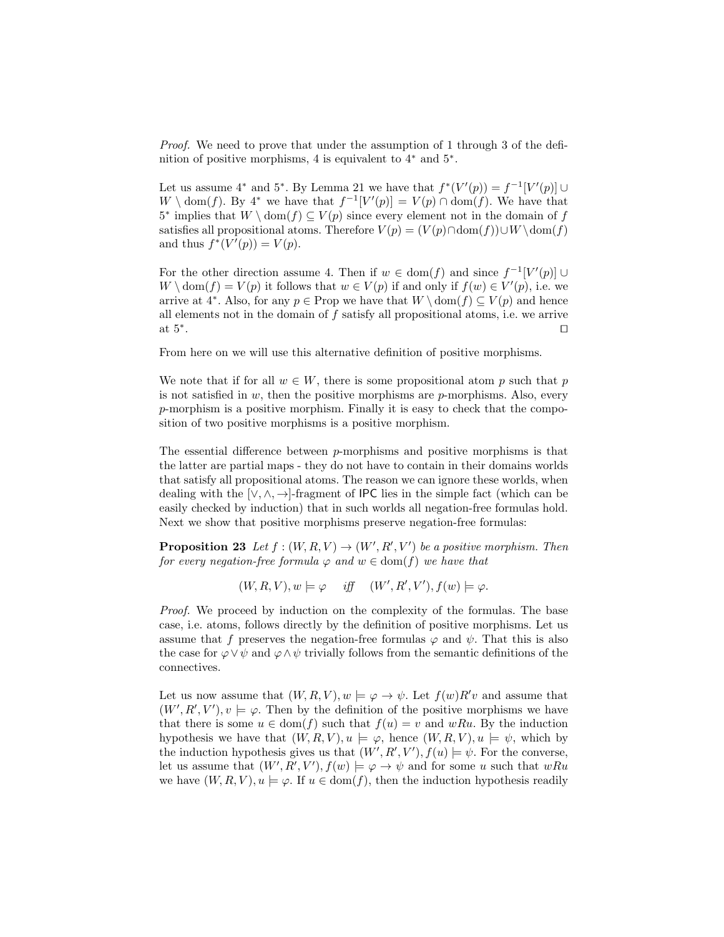Proof. We need to prove that under the assumption of 1 through 3 of the definition of positive morphisms, 4 is equivalent to 4<sup>∗</sup> and 5<sup>∗</sup> .

Let us assume 4<sup>\*</sup> and 5<sup>\*</sup>. By Lemma 21 we have that  $f^*(V'(p)) = f^{-1}[V'(p)] \cup$  $W \setminus \text{dom}(f)$ . By 4<sup>\*</sup> we have that  $f^{-1}[V'(p)] = V(p) \cap \text{dom}(f)$ . We have that 5<sup>\*</sup> implies that  $W \setminus \text{dom}(f) \subseteq V(p)$  since every element not in the domain of f satisfies all propositional atoms. Therefore  $V(p) = (V(p) \cap \text{dom}(f)) \cup W \setminus \text{dom}(f)$ and thus  $f^*(V'(p)) = V(p)$ .

For the other direction assume 4. Then if  $w \in \text{dom}(f)$  and since  $f^{-1}[V'(p)] \cup$  $W \setminus \text{dom}(f) = V(p)$  it follows that  $w \in V(p)$  if and only if  $f(w) \in V'(p)$ , i.e. we arrive at 4<sup>\*</sup>. Also, for any  $p \in \text{Prop}$  we have that  $W \setminus \text{dom}(f) \subseteq V(p)$  and hence all elements not in the domain of f satisfy all propositional atoms, i.e. we arrive at 5<sup>∗</sup> . The contract of the contract of the contract of the contract  $\Box$ 

From here on we will use this alternative definition of positive morphisms.

We note that if for all  $w \in W$ , there is some propositional atom p such that p is not satisfied in  $w$ , then the positive morphisms are  $p$ -morphisms. Also, every p-morphism is a positive morphism. Finally it is easy to check that the composition of two positive morphisms is a positive morphism.

The essential difference between p-morphisms and positive morphisms is that the latter are partial maps - they do not have to contain in their domains worlds that satisfy all propositional atoms. The reason we can ignore these worlds, when dealing with the  $[\vee, \wedge, \rightarrow]$ -fragment of IPC lies in the simple fact (which can be easily checked by induction) that in such worlds all negation-free formulas hold. Next we show that positive morphisms preserve negation-free formulas:

**Proposition 23** Let  $f : (W, R, V) \to (W', R', V')$  be a positive morphism. Then for every negation-free formula  $\varphi$  and  $w \in \text{dom}(f)$  we have that

 $(W, R, V), w \models \varphi \quad \text{iff} \quad (W', R', V'), f(w) \models \varphi.$ 

Proof. We proceed by induction on the complexity of the formulas. The base case, i.e. atoms, follows directly by the definition of positive morphisms. Let us assume that f preserves the negation-free formulas  $\varphi$  and  $\psi$ . That this is also the case for  $\varphi \vee \psi$  and  $\varphi \wedge \psi$  trivially follows from the semantic definitions of the connectives.

Let us now assume that  $(W, R, V)$ ,  $w \models \varphi \rightarrow \psi$ . Let  $f(w)R'v$  and assume that  $(W', R', V'), v \models \varphi$ . Then by the definition of the positive morphisms we have that there is some  $u \in \text{dom}(f)$  such that  $f(u) = v$  and wRu. By the induction hypothesis we have that  $(W, R, V), u \models \varphi$ , hence  $(W, R, V), u \models \psi$ , which by the induction hypothesis gives us that  $(W', R', V'), f(u) \models \psi$ . For the converse, let us assume that  $(W', R', V'), f(w) \models \varphi \rightarrow \psi$  and for some u such that wRu we have  $(W, R, V)$ ,  $u \models \varphi$ . If  $u \in \text{dom}(f)$ , then the induction hypothesis readily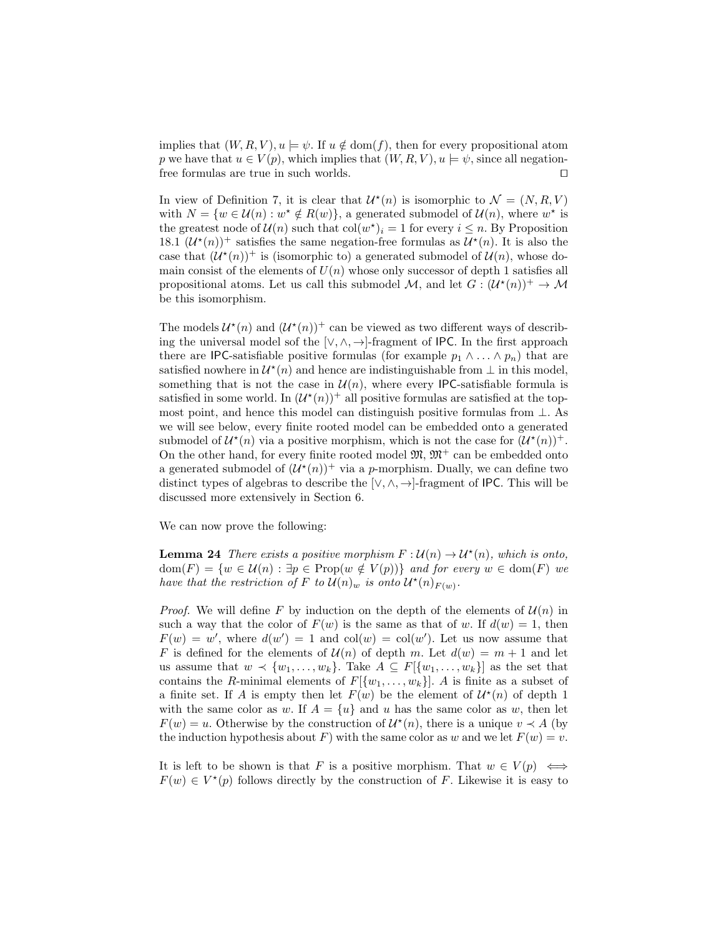implies that  $(W, R, V), u \models \psi$ . If  $u \notin \text{dom}(f)$ , then for every propositional atom p we have that  $u \in V(p)$ , which implies that  $(W, R, V)$ ,  $u \models \psi$ , since all negationfree formulas are true in such worlds.  $\Box$ 

In view of Definition 7, it is clear that  $\mathcal{U}^*(n)$  is isomorphic to  $\mathcal{N} = (N, R, V)$ with  $N = \{w \in \mathcal{U}(n) : w^* \notin R(w)\}\$ , a generated submodel of  $\mathcal{U}(n)$ , where  $w^*$  is the greatest node of  $\mathcal{U}(n)$  such that  $col(w^*)_i = 1$  for every  $i \leq n$ . By Proposition 18.1  $(\mathcal{U}^*(n))^+$  satisfies the same negation-free formulas as  $\mathcal{U}^*(n)$ . It is also the case that  $(\mathcal{U}^*(n))^+$  is (isomorphic to) a generated submodel of  $\mathcal{U}(n)$ , whose domain consist of the elements of  $U(n)$  whose only successor of depth 1 satisfies all propositional atoms. Let us call this submodel M, and let  $G: (U^*(n))^+ \to M$ be this isomorphism.

The models  $\mathcal{U}^*(n)$  and  $(\mathcal{U}^*(n))^+$  can be viewed as two different ways of describing the universal model sof the [ $\vee, \wedge, \rightarrow$ ]-fragment of IPC. In the first approach there are IPC-satisfiable positive formulas (for example  $p_1 \wedge \ldots \wedge p_n$ ) that are satisfied nowhere in  $\mathcal{U}^*(n)$  and hence are indistinguishable from  $\perp$  in this model, something that is not the case in  $\mathcal{U}(n)$ , where every IPC-satisfiable formula is satisfied in some world. In  $(\mathcal{U}^*(n))^+$  all positive formulas are satisfied at the topmost point, and hence this model can distinguish positive formulas from  $\perp$ . As we will see below, every finite rooted model can be embedded onto a generated submodel of  $\mathcal{U}^*(n)$  via a positive morphism, which is not the case for  $(\mathcal{U}^*(n))^+$ . On the other hand, for every finite rooted model  $\mathfrak{M}, \mathfrak{M}^+$  can be embedded onto a generated submodel of  $(\mathcal{U}^*(n))^+$  via a p-morphism. Dually, we can define two distinct types of algebras to describe the [ $\vee, \wedge, \rightarrow$ ]-fragment of IPC. This will be discussed more extensively in Section 6.

We can now prove the following:

**Lemma 24** There exists a positive morphism  $F: \mathcal{U}(n) \to \mathcal{U}^*(n)$ , which is onto,  $dom(F) = \{w \in \mathcal{U}(n) : \exists p \in Prop(w \notin V(p))\}$  and for every  $w \in dom(F)$  we have that the restriction of F to  $\mathcal{U}(n)_{w}$  is onto  $\mathcal{U}^{*}(n)_{F(w)}$ .

*Proof.* We will define F by induction on the depth of the elements of  $\mathcal{U}(n)$  in such a way that the color of  $F(w)$  is the same as that of w. If  $d(w) = 1$ , then  $F(w) = w'$ , where  $d(w') = 1$  and  $col(w) = col(w')$ . Let us now assume that F is defined for the elements of  $\mathcal{U}(n)$  of depth m. Let  $d(w) = m + 1$  and let us assume that  $w \prec \{w_1, \ldots, w_k\}$ . Take  $A \subseteq F[\{w_1, \ldots, w_k\}]$  as the set that contains the R-minimal elements of  $F[\{w_1, \ldots, w_k\}]$ . A is finite as a subset of a finite set. If A is empty then let  $F(w)$  be the element of  $\mathcal{U}^*(n)$  of depth 1 with the same color as w. If  $A = \{u\}$  and u has the same color as w, then let  $F(w) = u$ . Otherwise by the construction of  $\mathcal{U}^*(n)$ , there is a unique  $v \prec A$  (by the induction hypothesis about F) with the same color as w and we let  $F(w) = v$ .

It is left to be shown is that F is a positive morphism. That  $w \in V(p) \iff$  $F(w) \in V^*(p)$  follows directly by the construction of F. Likewise it is easy to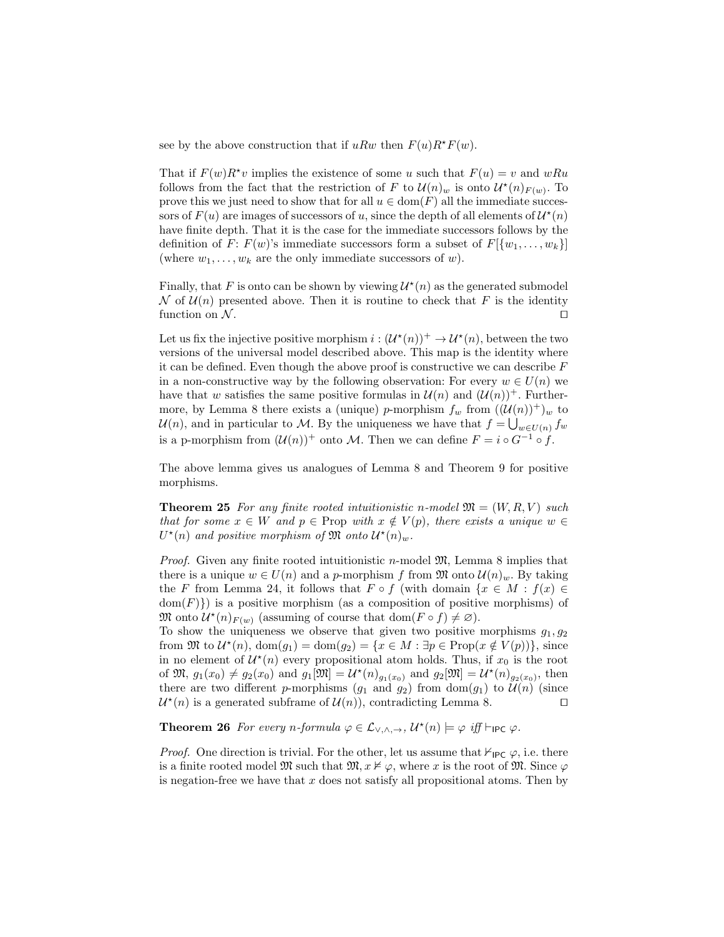see by the above construction that if uRw then  $F(u)R^*F(w)$ .

That if  $F(w)R^*v$  implies the existence of some u such that  $F(u) = v$  and  $wRu$ follows from the fact that the restriction of F to  $\mathcal{U}(n)_w$  is onto  $\mathcal{U}^*(n)_{F(w)}$ . To prove this we just need to show that for all  $u \in \text{dom}(F)$  all the immediate successors of  $F(u)$  are images of successors of u, since the depth of all elements of  $\mathcal{U}^*(n)$ have finite depth. That it is the case for the immediate successors follows by the definition of F:  $F(w)$ 's immediate successors form a subset of  $F[\{w_1, \ldots, w_k\}]$ (where  $w_1, \ldots, w_k$  are the only immediate successors of w).

Finally, that F is onto can be shown by viewing  $\mathcal{U}^*(n)$  as the generated submodel N of  $\mathcal{U}(n)$  presented above. Then it is routine to check that F is the identity function on  $\mathcal N$ .

Let us fix the injective positive morphism  $i: (\mathcal{U}^*(n))^+ \to \mathcal{U}^*(n)$ , between the two versions of the universal model described above. This map is the identity where it can be defined. Even though the above proof is constructive we can describe  $F$ in a non-constructive way by the following observation: For every  $w \in U(n)$  we have that w satisfies the same positive formulas in  $\mathcal{U}(n)$  and  $(\mathcal{U}(n))^{+}$ . Furthermore, by Lemma 8 there exists a (unique) p-morphism  $f_w$  from  $((\mathcal{U}(n))^+)_w$  to  $\mathcal{U}(n)$ , and in particular to M. By the uniqueness we have that  $f = \bigcup_{w \in U(n)} f_w$ is a p-morphism from  $(U(n))^{+}$  onto M. Then we can define  $F = i \circ G^{-1} \circ f$ .

The above lemma gives us analogues of Lemma 8 and Theorem 9 for positive morphisms.

**Theorem 25** For any finite rooted intuitionistic n-model  $\mathfrak{M} = (W, R, V)$  such that for some  $x \in W$  and  $p \in \text{Prop with } x \notin V(p)$ , there exists a unique  $w \in$  $U^*(n)$  and positive morphism of  $\mathfrak{M}$  onto  $\mathcal{U}^*(n)_w$ .

*Proof.* Given any finite rooted intuitionistic *n*-model  $\mathfrak{M}$ , Lemma 8 implies that there is a unique  $w \in U(n)$  and a p-morphism f from  $\mathfrak{M}$  onto  $\mathcal{U}(n)_w$ . By taking the F from Lemma 24, it follows that  $F \circ f$  (with domain  $\{x \in M : f(x) \in$  $dom(F)$ ) is a positive morphism (as a composition of positive morphisms) of  $\mathfrak{M}$  onto  $\mathcal{U}^*(n)_{F(w)}$  (assuming of course that  $dom(F \circ f) \neq \emptyset$ ).

To show the uniqueness we observe that given two positive morphisms  $g_1, g_2$ from  $\mathfrak{M}$  to  $\mathcal{U}^*(n)$ ,  $dom(g_1) = dom(g_2) = \{x \in M : \exists p \in Prop(x \notin V(p))\}$ , since in no element of  $\mathcal{U}^*(n)$  every propositional atom holds. Thus, if  $x_0$  is the root of  $\mathfrak{M}, g_1(x_0) \neq g_2(x_0)$  and  $g_1[\mathfrak{M}] = \mathcal{U}^*(n)_{g_1(x_0)}$  and  $g_2[\mathfrak{M}] = \mathcal{U}^*(n)_{g_2(x_0)}$ , then there are two different p-morphisms  $(g_1 \text{ and } g_2)$  from  $\text{dom}(g_1)$  to  $\mathcal{U}(n)$  (since  $\mathcal{U}^{*}(n)$  is a generated subframe of  $\mathcal{U}(n)$ , contradicting Lemma 8.

**Theorem 26** For every n-formula  $\varphi \in \mathcal{L}_{\vee, \wedge, \rightarrow}$ ,  $\mathcal{U}^*(n) \models \varphi$  iff  $\vdash_{\mathsf{IPC}} \varphi$ .

*Proof.* One direction is trivial. For the other, let us assume that  $\mathcal{F}_{\text{IPC}}\varphi$ , i.e. there is a finite rooted model M such that  $\mathfrak{M}, x \nvDash \varphi$ , where x is the root of M. Since  $\varphi$ is negation-free we have that  $x$  does not satisfy all propositional atoms. Then by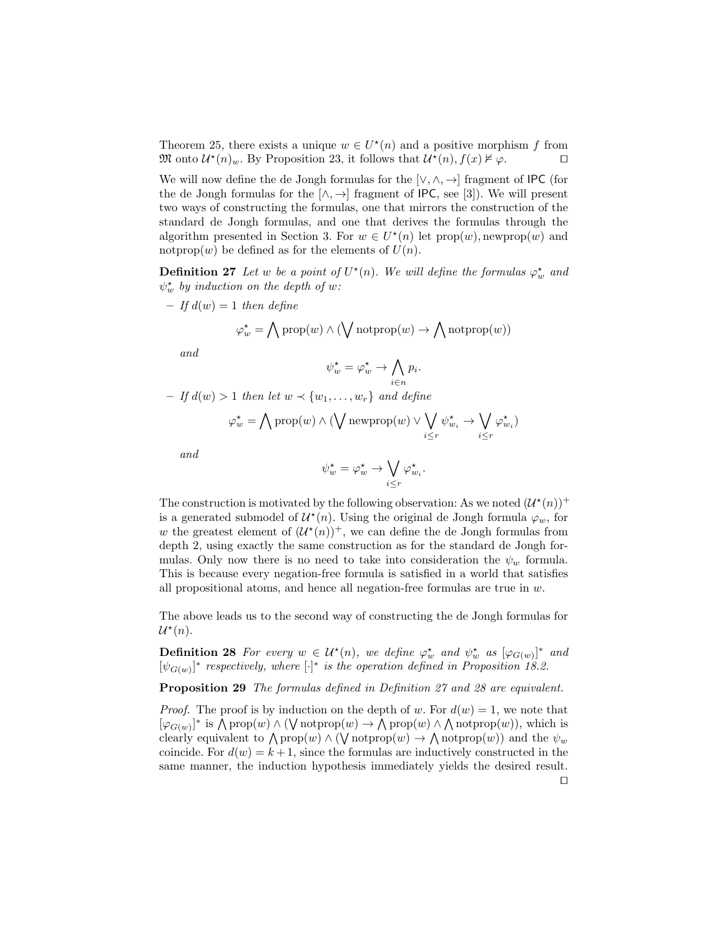Theorem 25, there exists a unique  $w \in U^*(n)$  and a positive morphism f from  $\mathfrak{M}$  onto  $\mathcal{U}^*(n)_w$ . By Proposition 23, it follows that  $\mathcal{U}^*(n)$ ,  $f(x) \nvDash \varphi$ .

We will now define the de Jongh formulas for the  $[\vee, \wedge, \rightarrow]$  fragment of IPC (for the de Jongh formulas for the  $[\wedge, \rightarrow]$  fragment of IPC, see [3]). We will present two ways of constructing the formulas, one that mirrors the construction of the standard de Jongh formulas, and one that derives the formulas through the algorithm presented in Section 3. For  $w \in U^*(n)$  let  $prop(w)$ , newprop $(w)$  and notprop $(w)$  be defined as for the elements of  $U(n)$ .

**Definition 27** Let w be a point of  $U^*(n)$ . We will define the formulas  $\varphi_w^*$  and  $\psi_w^*$  by induction on the depth of w:

$$
- \text{ If } d(w) = 1 \text{ then define}
$$

$$
\varphi_w^* = \bigwedge \text{prop}(w) \land (\bigvee \text{notprop}(w) \rightarrow \bigwedge \text{notprop}(w))
$$

and

$$
\psi_w^* = \varphi_w^* \to \bigwedge_{i \in n} p_i.
$$

– If  $d(w) > 1$  then let  $w \prec \{w_1, \ldots, w_r\}$  and define

$$
\varphi_w^{\star} = \bigwedge \mathrm{prop}(w) \land (\bigvee \mathrm{newprop}(w) \lor \bigvee_{i \leq r} \psi_{w_i}^{\star} \rightarrow \bigvee_{i \leq r} \varphi_{w_i}^{\star})
$$

and

$$
\psi_w^* = \varphi_w^* \to \bigvee_{i \leq r} \varphi_{w_i}^*.
$$

The construction is motivated by the following observation: As we noted  $(\mathcal{U}^*(n))^+$ is a generated submodel of  $\mathcal{U}^*(n)$ . Using the original de Jongh formula  $\varphi_w$ , for w the greatest element of  $(U^*(n))^+$ , we can define the de Jongh formulas from depth 2, using exactly the same construction as for the standard de Jongh formulas. Only now there is no need to take into consideration the  $\psi_w$  formula. This is because every negation-free formula is satisfied in a world that satisfies all propositional atoms, and hence all negation-free formulas are true in  $w$ .

The above leads us to the second way of constructing the de Jongh formulas for  $\mathcal{U}^*(n)$ .

**Definition 28** For every  $w \in \mathcal{U}^*(n)$ , we define  $\varphi_w^*$  and  $\psi_w^*$  as  $[\varphi_{G(w)}]^*$  and  $[\psi_{G(w)}]^{*}$  respectively, where  $[\cdot]^{*}$  is the operation defined in Proposition 18.2.

Proposition 29 The formulas defined in Definition 27 and 28 are equivalent.

*Proof.* The proof is by induction on the depth of w. For  $d(w) = 1$ , we note that  $[\varphi_{G(w)}]^*$  is  $\bigwedge \text{prop}(w) \wedge (\bigvee \text{notprop}(w) \rightarrow \bigwedge \text{prop}(w) \wedge \bigwedge \text{notprop}(w)),$  which is clearly equivalent to  $\bigwedge \text{prop}(w) \land (\bigvee \text{notprop}(w) \rightarrow \bigwedge \text{notprop}(w))$  and the  $\psi_w$ coincide. For  $d(w) = k + 1$ , since the formulas are inductively constructed in the same manner, the induction hypothesis immediately yields the desired result.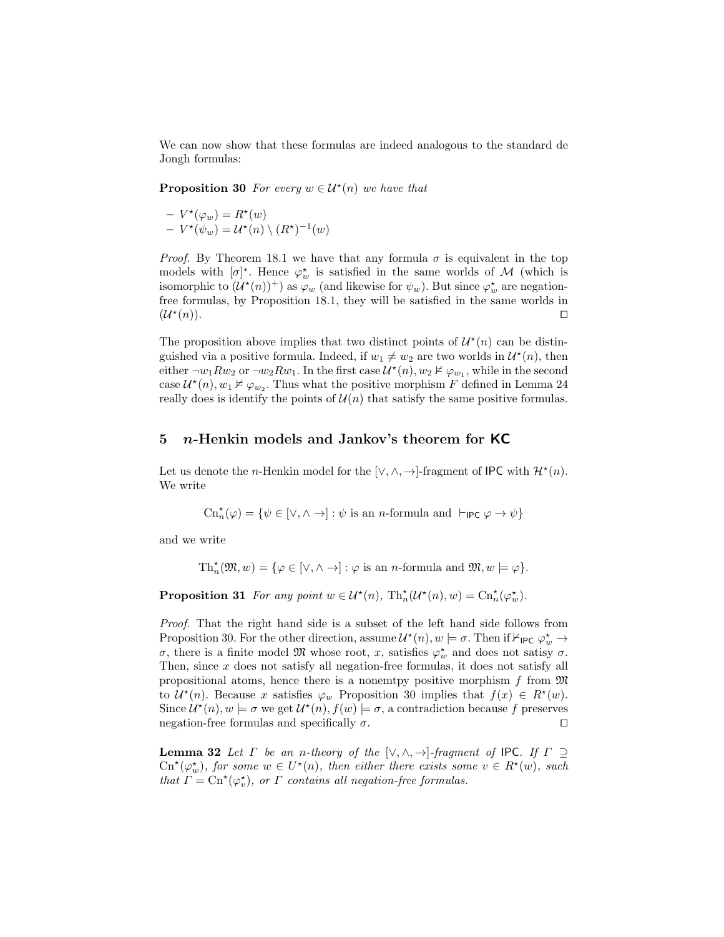We can now show that these formulas are indeed analogous to the standard de Jongh formulas:

**Proposition 30** For every  $w \in \mathcal{U}^*(n)$  we have that

$$
- V^{\star}(\varphi_w) = R^{\star}(w)
$$
  
-  $V^{\star}(\psi_w) = U^{\star}(n) \setminus (R^{\star})^{-1}(w)$ 

*Proof.* By Theorem 18.1 we have that any formula  $\sigma$  is equivalent in the top models with  $[\sigma]^*$ . Hence  $\varphi_w^*$  is satisfied in the same worlds of M (which is isomorphic to  $(\mathcal{U}^*(n))^+$  as  $\varphi_w$  (and likewise for  $\psi_w$ ). But since  $\varphi_w^*$  are negationfree formulas, by Proposition 18.1, they will be satisfied in the same worlds in  $(\mathcal{U}^{\star}% )(\theta)=\mathcal{U}(\theta)$  $(n).$ 

The proposition above implies that two distinct points of  $\mathcal{U}^*(n)$  can be distinguished via a positive formula. Indeed, if  $w_1 \neq w_2$  are two worlds in  $\mathcal{U}^*(n)$ , then either  $\neg w_1 R w_2$  or  $\neg w_2 R w_1$ . In the first case  $\mathcal{U}^*(n)$ ,  $w_2 \nvDash \varphi_{w_1}$ , while in the second case  $\mathcal{U}^*(n)$ ,  $w_1 \nvDash \varphi_{w_2}$ . Thus what the positive morphism F defined in Lemma 24 really does is identify the points of  $\mathcal{U}(n)$  that satisfy the same positive formulas.

#### 5 *n*-Henkin models and Jankov's theorem for KC

Let us denote the *n*-Henkin model for the  $[\vee, \wedge, \rightarrow]$ -fragment of IPC with  $\mathcal{H}^*(n)$ . We write

$$
\mathrm{Cn}^\star_n(\varphi) = \{\psi \in [\vee, \wedge \to] : \psi \text{ is an }n\text{-formula and }\vdash_{\mathsf{IPC}} \varphi \to \psi\}
$$

and we write

 $\mathrm{Th}_{n}^{\star}(\mathfrak{M}, w) = \{ \varphi \in [\vee, \wedge \to] : \varphi \text{ is an } n\text{-formula and } \mathfrak{M}, w \models \varphi \}.$ 

**Proposition 31** For any point  $w \in \mathcal{U}^*(n)$ ,  $\text{Th}^*_{n}(\mathcal{U}^*(n), w) = \text{Ch}^*_{n}(\varphi_w^*)$ .

Proof. That the right hand side is a subset of the left hand side follows from Proposition 30. For the other direction, assume  $\mathcal{U}^*(n)$ ,  $w \models \sigma$ . Then if  $\mathcal{V}_{\mathsf{IPC}} \varphi_w^* \to$ σ, there is a finite model  $\mathfrak{M}$  whose root, x, satisfies  $\varphi_w^*$  and does not satisy σ. Then, since  $x$  does not satisfy all negation-free formulas, it does not satisfy all propositional atoms, hence there is a nonemtpy positive morphism f from  $\mathfrak{M}$ to  $\mathcal{U}^*(n)$ . Because x satisfies  $\varphi_w$  Proposition 30 implies that  $f(x) \in R^*(w)$ . Since  $\mathcal{U}^*(n)$ ,  $w \models \sigma$  we get  $\mathcal{U}^*(n)$ ,  $f(w) \models \sigma$ , a contradiction because f preserves negation-free formulas and specifically  $\sigma$ .

**Lemma 32** Let  $\Gamma$  be an n-theory of the  $[\vee, \wedge, \rightarrow]$ -fragment of IPC. If  $\Gamma \supseteq$  $\mathrm{Cr}^{\star}(\varphi_w^{\star})$ , for some  $w \in U^{\star}(n)$ , then either there exists some  $v \in R^{\star}(w)$ , such that  $\Gamma = \text{Cn}^{\star}(\varphi_v^{\star})$ , or  $\Gamma$  contains all negation-free formulas.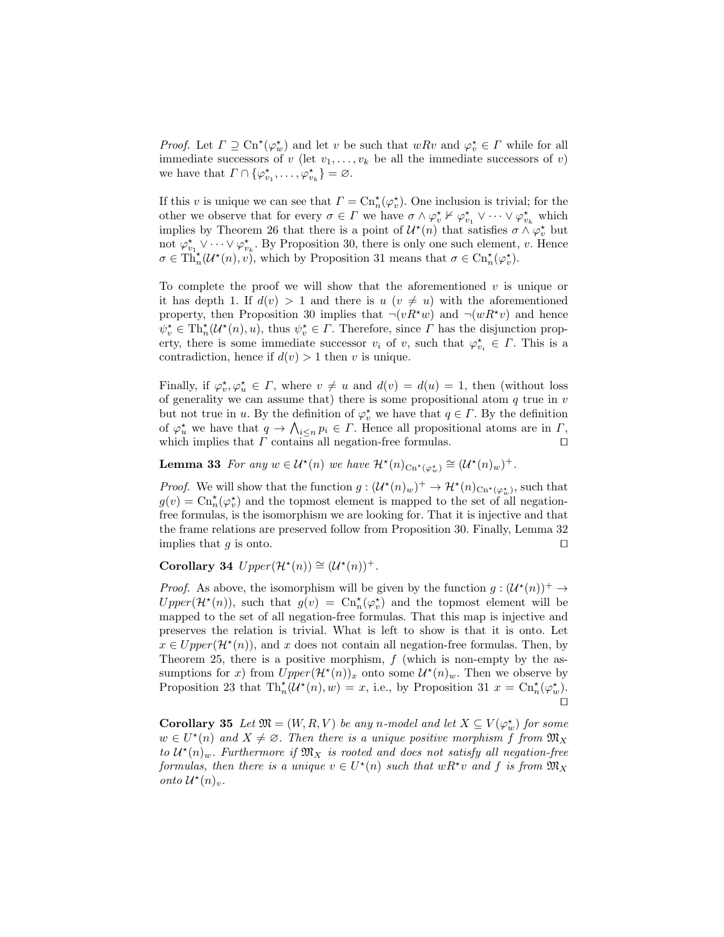*Proof.* Let  $\Gamma \supseteq \text{Cn}^{\star}(\varphi_w^{\star})$  and let v be such that  $wRv$  and  $\varphi_v^{\star} \in \Gamma$  while for all immediate successors of v (let  $v_1, \ldots, v_k$  be all the immediate successors of v) we have that  $\Gamma \cap {\varphi_{v_1}^{\star}, \ldots, \varphi_{v_k}^{\star}} = \varnothing$ .

If this v is unique we can see that  $\Gamma = \mathrm{Cn}_n^{\star}(\varphi_v^{\star})$ . One inclusion is trivial; for the other we observe that for every  $\sigma \in \Gamma$  we have  $\sigma \wedge \varphi_v^* \nvdash \varphi_{v_1}^* \vee \cdots \vee \varphi_{v_k}^*$  which implies by Theorem 26 that there is a point of  $\mathcal{U}^*(n)$  that satisfies  $\sigma \wedge \varphi_v^*$  but not  $\varphi_{v_1}^* \vee \cdots \vee \varphi_{v_k}^*$ . By Proposition 30, there is only one such element, v. Hence  $\sigma \in \text{Th}_{n}^{\star}(\mathcal{U}^{*}(n), v)$ , which by Proposition 31 means that  $\sigma \in \text{Ch}_{n}^{\star}(\varphi_{v}^{\star})$ .

To complete the proof we will show that the aforementioned  $v$  is unique or it has depth 1. If  $d(v) > 1$  and there is  $u(v \neq u)$  with the aforementioned property, then Proposition 30 implies that  $\neg(vR^*w)$  and  $\neg(wR^*v)$  and hence  $\psi_v^* \in \text{Th}_{n}^{\star}(\mathcal{U}^*(n), u)$ , thus  $\psi_v^* \in \Gamma$ . Therefore, since  $\Gamma$  has the disjunction property, there is some immediate successor  $v_i$  of  $v$ , such that  $\varphi_{v_i}^* \in \Gamma$ . This is a contradiction, hence if  $d(v) > 1$  then v is unique.

Finally, if  $\varphi_v^{\star}, \varphi_u^{\star} \in \Gamma$ , where  $v \neq u$  and  $d(v) = d(u) = 1$ , then (without loss of generality we can assume that) there is some propositional atom  $q$  true in  $v$ but not true in u. By the definition of  $\varphi_v^*$  we have that  $q \in \Gamma$ . By the definition of  $\varphi_u^*$  we have that  $q \to \bigwedge_{i \leq n} p_i \in \Gamma$ . Hence all propositional atoms are in  $\Gamma$ , which implies that  $\Gamma$  contains all negation-free formulas.  $\square$ 

**Lemma 33** For any  $w \in \mathcal{U}^*(n)$  we have  $\mathcal{H}^*(n)_{\text{Cn}^*(\varphi_w^*)} \cong (\mathcal{U}^*(n)_w)^+$ .

*Proof.* We will show that the function  $g: (\mathcal{U}^*(n)_w)^+ \to \mathcal{H}^*(n)_{\text{Cn}^*(\varphi_w^*)}$ , such that  $g(v) = \text{Cn}_n^{\star}(\varphi_v^{\star})$  and the topmost element is mapped to the set of all negationfree formulas, is the isomorphism we are looking for. That it is injective and that the frame relations are preserved follow from Proposition 30. Finally, Lemma 32 implies that q is onto.  $\Box$ 

Corollary 34  $Upper(\mathcal{H}^*(n)) \cong (\mathcal{U}^*(n))^+$ .

*Proof.* As above, the isomorphism will be given by the function  $g: (\mathcal{U}^*(n))^+ \to$  $Upper(\mathcal{H}^*(n))$ , such that  $g(v) = \text{Cn}_n^*(\varphi_v^*)$  and the topmost element will be mapped to the set of all negation-free formulas. That this map is injective and preserves the relation is trivial. What is left to show is that it is onto. Let  $x \in Upper(\mathcal{H}^{*}(n))$ , and x does not contain all negation-free formulas. Then, by Theorem 25, there is a positive morphism, f (which is non-empty by the assumptions for x) from  $Upper(\mathcal{H}^*(n))_x$  onto some  $\mathcal{U}^*(n)_w$ . Then we observe by Proposition 23 that  $\text{Th}_{n}^{\star}(\mathcal{U}^{*}(n),w)=x$ , i.e., by Proposition 31  $x=\text{Ch}_{n}^{\star}(\varphi_{w}^{\star})$ .  $\Box$ 

**Corollary 35** Let  $\mathfrak{M} = (W, R, V)$  be any n-model and let  $X \subseteq V(\varphi_w^{\star})$  for some  $w \in U^*(n)$  and  $X \neq \emptyset$ . Then there is a unique positive morphism f from  $\mathfrak{M}_X$ to  $\mathcal{U}^*(n)_{w}$ . Furthermore if  $\mathfrak{M}_X$  is rooted and does not satisfy all negation-free formulas, then there is a unique  $v \in U^*(n)$  such that  $wR^*v$  and f is from  $\mathfrak{M}_X$ onto  $\mathcal{U}^*(n)_v$ .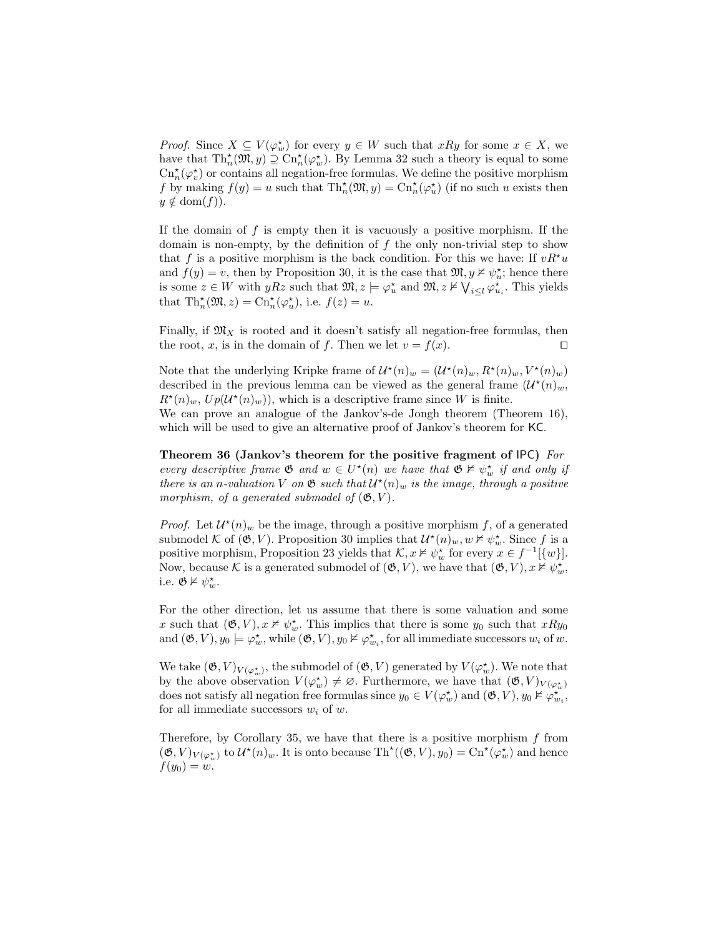*Proof.* Since  $X \subseteq V(\varphi_w^*)$  for every  $y \in W$  such that  $xRy$  for some  $x \in X$ , we have that  $\text{Th}^{\star}_n(\mathfrak{M}, y) \supseteq \text{Ch}^{\star}_n(\varphi_w^{\star})$ . By Lemma 32 such a theory is equal to some  $\mathrm{Cn}^\star_n(\varphi^\star_v)$  or contains all negation-free formulas. We define the positive morphism f by making  $f(y) = u$  such that  $\text{Th}_{n}^{\star}(\mathfrak{M}, y) = \text{Ctn}_{n}^{\star}(\varphi_{u}^{\star})$  (if no such u exists then  $y \notin \text{dom}(f)$ .

If the domain of f is empty then it is vacuously a positive morphism. If the domain is non-empty, by the definition of  $f$  the only non-trivial step to show that f is a positive morphism is the back condition. For this we have: If  $vR^*u$ and  $f(y) = v$ , then by Proposition 30, it is the case that  $\mathfrak{M}, y \nvDash \psi_u^*$ ; hence there is some  $z \in W$  with  $yRz$  such that  $\mathfrak{M}, z \models \varphi_u^{\star}$  and  $\mathfrak{M}, z \nvDash \bigvee_{i \leq l} \varphi_{u_i}^{\star}$ . This yields that  $\text{Th}_{n}^{\star}(\mathfrak{M},z) = \text{Ch}_{n}^{\star}(\varphi_{u}^{\star}),$  i.e.  $f(z) = u$ .

Finally, if  $\mathfrak{M}_X$  is rooted and it doesn't satisfy all negation-free formulas, then the root, x, is in the domain of f. Then we let  $v = f(x)$ .

Note that the underlying Kripke frame of  $\mathcal{U}^*(n)_w = (\mathcal{U}^*(n)_w, R^*(n)_w, V^*(n)_w)$ described in the previous lemma can be viewed as the general frame  $(\mathcal{U}^*(n)_w,$  $R^{\star}(n)_{w}, U_{p}(\mathcal{U}^{*}(n)_{w}))$ , which is a descriptive frame since W is finite. We can prove an analogue of the Jankov's-de Jongh theorem (Theorem 16),

which will be used to give an alternative proof of Jankov's theorem for KC.

Theorem 36 (Jankov's theorem for the positive fragment of IPC) For every descriptive frame  $\mathfrak{G}$  and  $w \in U^*(n)$  we have that  $\mathfrak{G} \nvDash \psi_w^*$  if and only if there is an n-valuation V on  $\mathfrak{G}$  such that  $\mathcal{U}^*(n)_w$  is the image, through a positive morphism, of a generated submodel of  $(\mathfrak{G}, V)$ .

*Proof.* Let  $\mathcal{U}^*(n)_w$  be the image, through a positive morphism f, of a generated submodel K of  $(\mathfrak{G}, V)$ . Proposition 30 implies that  $\mathcal{U}^*(n)_w, w \nvDash \psi_w^*$ . Since f is a positive morphism, Proposition 23 yields that  $\mathcal{K}, x \nvDash \psi_w^*$  for every  $x \in f^{-1}[\{w\}]$ . Now, because K is a generated submodel of  $(\mathfrak{G}, V)$ , we have that  $(\mathfrak{G}, V), x \nvDash \psi_w^{\star}$ , i.e.  $\mathfrak{G} \not\models \psi_w^*$ .

For the other direction, let us assume that there is some valuation and some x such that  $(\mathfrak{G}, V), x \nvDash \psi_w^*$ . This implies that there is some  $y_0$  such that  $xRy_0$ and  $(\mathfrak{G}, V), y_0 \models \varphi_w^*$ , while  $(\mathfrak{G}, V), y_0 \not\vDash \varphi_{w_i}^*$ , for all immediate successors  $w_i$  of  $w_i$ .

We take  $(\mathfrak{G}, V)_{V(\varphi_w^*)}$ , the submodel of  $(\mathfrak{G}, V)$  generated by  $V(\varphi_w^*)$ . We note that by the above observation  $V(\varphi_w^*) \neq \varnothing$ . Furthermore, we have that  $(\mathfrak{G}, V)_{V(\varphi_w^*)}$ does not satisfy all negation free formulas since  $y_0 \in V(\varphi_w^{\star})$  and  $(\mathfrak{G}, V), y_0 \nvDash \varphi_{w_i}^{\star}$ , for all immediate successors  $w_i$  of  $w$ .

Therefore, by Corollary 35, we have that there is a positive morphism  $f$  from  $(\mathfrak{G}, V)_{V(\varphi_w^{\star})}$  to  $\mathcal{U}^{\star}(n)_w$ . It is onto because  $\text{Th}^{\star}((\mathfrak{G}, V), y_0) = \text{Cn}^{\star}(\varphi_w^{\star})$  and hence  $f(y_0) = w.$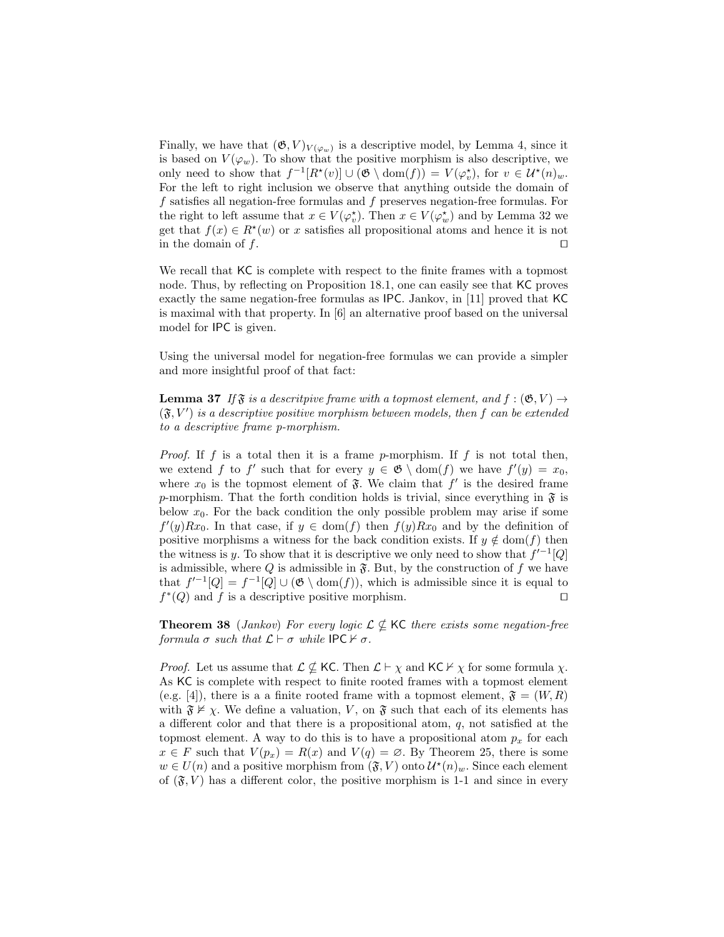Finally, we have that  $(\mathfrak{G}, V)_{V(\varphi_w)}$  is a descriptive model, by Lemma 4, since it is based on  $V(\varphi_w)$ . To show that the positive morphism is also descriptive, we only need to show that  $f^{-1}[R^*(v)] \cup (\mathfrak{G} \setminus \text{dom}(f)) = V(\varphi_v^*)$ , for  $v \in \mathcal{U}^*(n)_w$ . For the left to right inclusion we observe that anything outside the domain of f satisfies all negation-free formulas and f preserves negation-free formulas. For the right to left assume that  $x \in V(\varphi_v^*)$ . Then  $x \in V(\varphi_w^*)$  and by Lemma 32 we get that  $f(x) \in R^*(w)$  or x satisfies all propositional atoms and hence it is not in the domain of  $f$ .

We recall that KC is complete with respect to the finite frames with a topmost node. Thus, by reflecting on Proposition 18.1, one can easily see that KC proves exactly the same negation-free formulas as IPC. Jankov, in [11] proved that KC is maximal with that property. In [6] an alternative proof based on the universal model for IPC is given.

Using the universal model for negation-free formulas we can provide a simpler and more insightful proof of that fact:

**Lemma 37** If  $\mathfrak{F}$  is a descriptive frame with a topmost element, and  $f : (\mathfrak{G}, V) \rightarrow$  $(\mathfrak{F}, V')$  is a descriptive positive morphism between models, then f can be extended to a descriptive frame p-morphism.

*Proof.* If f is a total then it is a frame p-morphism. If f is not total then, we extend f to f' such that for every  $y \in \mathfrak{G} \setminus \text{dom}(f)$  we have  $f'(y) = x_0$ , where  $x_0$  is the topmost element of  $\mathfrak{F}$ . We claim that  $f'$  is the desired frame p-morphism. That the forth condition holds is trivial, since everything in  $\mathfrak{F}$  is below  $x_0$ . For the back condition the only possible problem may arise if some  $f'(y)Rx_0$ . In that case, if  $y \in \text{dom}(f)$  then  $f(y)Rx_0$  and by the definition of positive morphisms a witness for the back condition exists. If  $y \notin \text{dom}(f)$  then the witness is y. To show that it is descriptive we only need to show that  $f'^{-1}[Q]$ is admissible, where Q is admissible in  $\mathfrak{F}$ . But, by the construction of f we have that  $f^{-1}[Q] = f^{-1}[Q] \cup (\mathfrak{G} \setminus \text{dom}(f)),$  which is admissible since it is equal to  $f^*(Q)$  and f is a descriptive positive morphism.

**Theorem 38** (Jankov) For every logic  $\mathcal{L} \not\subseteq$  KC there exists some negation-free formula  $\sigma$  such that  $\mathcal{L} \vdash \sigma$  while IPC  $\nvdash \sigma$ .

*Proof.* Let us assume that  $\mathcal{L} \not\subseteq$  KC. Then  $\mathcal{L} \vdash \chi$  and KC  $\nvdash \chi$  for some formula  $\chi$ . As KC is complete with respect to finite rooted frames with a topmost element (e.g. [4]), there is a a finite rooted frame with a topmost element,  $\mathfrak{F} = (W, R)$ with  $\mathfrak{F} \nvDash \chi$ . We define a valuation, V, on  $\mathfrak{F}$  such that each of its elements has a different color and that there is a propositional atom, q, not satisfied at the topmost element. A way to do this is to have a propositional atom  $p_x$  for each  $x \in F$  such that  $V(p_x) = R(x)$  and  $V(q) = \emptyset$ . By Theorem 25, there is some  $w \in U(n)$  and a positive morphism from  $(\mathfrak{F}, V)$  onto  $\mathcal{U}^*(n)_w$ . Since each element of  $(\mathfrak{F}, V)$  has a different color, the positive morphism is 1-1 and since in every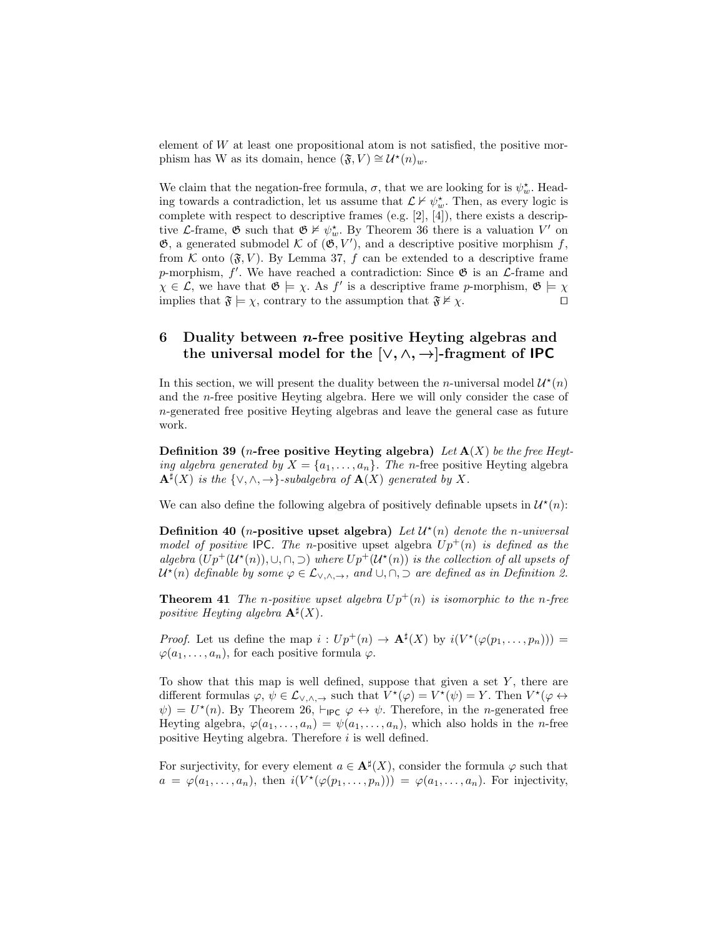element of  $W$  at least one propositional atom is not satisfied, the positive morphism has W as its domain, hence  $(\mathfrak{F}, V) \cong \mathcal{U}^*(n)_w$ .

We claim that the negation-free formula,  $\sigma$ , that we are looking for is  $\psi_w^*$ . Heading towards a contradiction, let us assume that  $\mathcal{L} \nvdash \psi_w^*$ . Then, as every logic is complete with respect to descriptive frames (e.g. [2], [4]), there exists a descriptive L-frame,  $\mathfrak{G}$  such that  $\mathfrak{G} \not\vDash \psi_w^*$ . By Theorem 36 there is a valuation  $V'$  on  $\mathfrak{G}$ , a generated submodel K of  $(\mathfrak{G}, V')$ , and a descriptive positive morphism f, from K onto  $(\mathfrak{F}, V)$ . By Lemma 37, f can be extended to a descriptive frame p-morphism,  $f'$ . We have reached a contradiction: Since  $\mathfrak{G}$  is an  $\mathcal{L}$ -frame and  $\chi \in \mathcal{L}$ , we have that  $\mathfrak{G} \models \chi$ . As f' is a descriptive frame p-morphism,  $\mathfrak{G} \models \chi$ implies that  $\mathfrak{F} \models \chi$ , contrary to the assumption that  $\mathfrak{F} \nvdash \chi$ .

# 6 Duality between *n*-free positive Heyting algebras and the universal model for the  $[\vee, \wedge, \rightarrow]$ -fragment of **IPC**

In this section, we will present the duality between the *n*-universal model  $\mathcal{U}^*(n)$ and the n-free positive Heyting algebra. Here we will only consider the case of n-generated free positive Heyting algebras and leave the general case as future work.

Definition 39 (*n*-free positive Heyting algebra) Let  $\mathbf{A}(X)$  be the free Heyting algebra generated by  $X = \{a_1, \ldots, a_n\}$ . The n-free positive Heyting algebra  $\mathbf{A}^{\sharp}(X)$  is the  $\{\vee, \wedge, \to\}$ -subalgebra of  $\mathbf{A}(X)$  generated by X.

We can also define the following algebra of positively definable upsets in  $\mathcal{U}^*(n)$ :

Definition 40 (*n*-positive upset algebra) Let  $\mathcal{U}^*(n)$  denote the *n*-universal model of positive IPC. The n-positive upset algebra  $Up^+(n)$  is defined as the algebra  $(Up^+(\mathcal{U}^*(n)), \cup, \cap, \supset)$  where  $Up^+(\mathcal{U}^*(n))$  is the collection of all upsets of  $\mathcal{U}^*(n)$  definable by some  $\varphi \in \mathcal{L}_{\vee, \wedge, \rightarrow}$ , and  $\cup, \cap, \supset$  are defined as in Definition 2.

**Theorem 41** The *n*-positive upset algebra  $Up^{+}(n)$  is isomorphic to the *n*-free positive Heyting algebra  $\mathbf{A}^{\sharp}(X)$ .

*Proof.* Let us define the map  $i: Up^+(n) \to \mathbf{A}^{\sharp}(X)$  by  $i(V^*(\varphi(p_1,\ldots,p_n)))$  =  $\varphi(a_1, \ldots, a_n)$ , for each positive formula  $\varphi$ .

To show that this map is well defined, suppose that given a set  $Y$ , there are different formulas  $\varphi, \psi \in \mathcal{L}_{\vee, \wedge, \rightarrow}$  such that  $V^*(\varphi) = V^*(\psi) = Y$ . Then  $V^*(\varphi \leftrightarrow \varphi)$  $\psi$  =  $U^*(n)$ . By Theorem 26,  $\vdash_{\mathsf{IPC}} \varphi \leftrightarrow \psi$ . Therefore, in the *n*-generated free Heyting algebra,  $\varphi(a_1,\ldots,a_n) = \psi(a_1,\ldots,a_n)$ , which also holds in the *n*-free positive Heyting algebra. Therefore i is well defined.

For surjectivity, for every element  $a \in \mathbf{A}^{\sharp}(X)$ , consider the formula  $\varphi$  such that  $a = \varphi(a_1, \ldots, a_n)$ , then  $i(V^*(\varphi(p_1, \ldots, p_n))) = \varphi(a_1, \ldots, a_n)$ . For injectivity,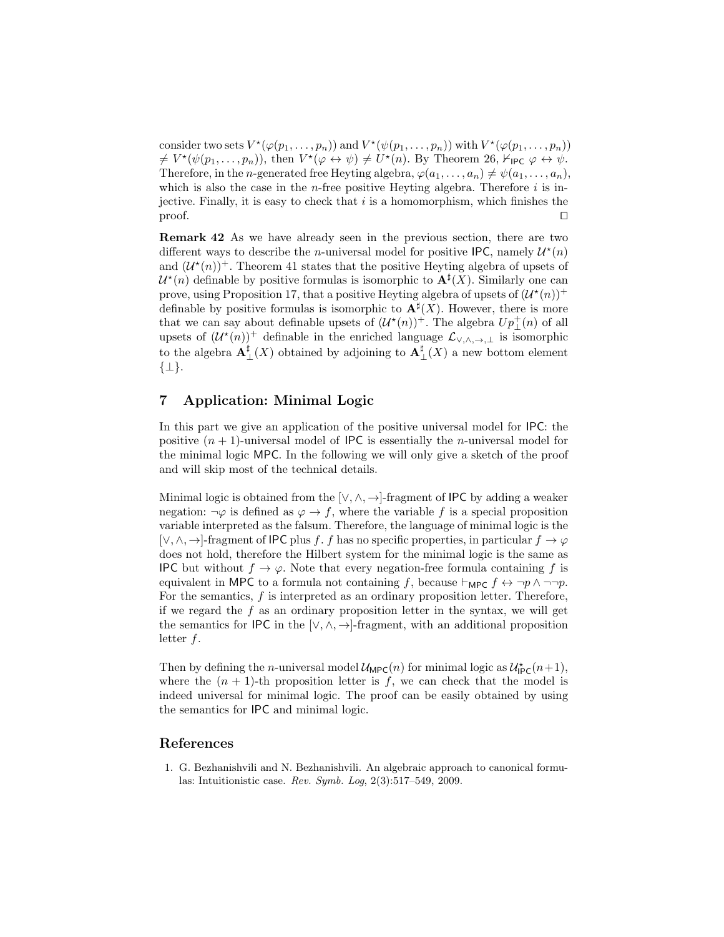consider two sets  $V^*(\varphi(p_1,\ldots,p_n))$  and  $V^*(\psi(p_1,\ldots,p_n))$  with  $V^*(\varphi(p_1,\ldots,p_n))$  $\neq V^*(\psi(p_1,\ldots,p_n)),$  then  $V^*(\varphi \leftrightarrow \psi) \neq U^*(n)$ . By Theorem 26,  $\mathcal{F}_{\mathsf{IPC}} \varphi \leftrightarrow \psi$ . Therefore, in the *n*-generated free Heyting algebra,  $\varphi(a_1, \ldots, a_n) \neq \psi(a_1, \ldots, a_n)$ , which is also the case in the *n*-free positive Heyting algebra. Therefore  $i$  is injective. Finally, it is easy to check that  $i$  is a homomorphism, which finishes the  $\Box$  proof.

Remark 42 As we have already seen in the previous section, there are two different ways to describe the *n*-universal model for positive IPC, namely  $\mathcal{U}^*(n)$ and  $(\mathcal{U}^*(n))^+$ . Theorem 41 states that the positive Heyting algebra of upsets of  $\mathcal{U}^*(n)$  definable by positive formulas is isomorphic to  $\mathbf{A}^{\sharp}(X)$ . Similarly one can prove, using Proposition 17, that a positive Heyting algebra of upsets of  $(\mathcal{U}^*(n))^+$ definable by positive formulas is isomorphic to  $\mathbf{A}^{\sharp}(X)$ . However, there is more that we can say about definable upsets of  $(\mathcal{U}^*(n))^+$ . The algebra  $Up^+_{\perp}(n)$  of all upsets of  $(U^*(n))^+$  definable in the enriched language  $\mathcal{L}_{\vee,\wedge,\rightarrow,\perp}$  is isomorphic to the algebra  $\mathbf{A}^{\sharp}_{\perp}(X)$  obtained by adjoining to  $\mathbf{A}^{\sharp}_{\perp}(X)$  a new bottom element {⊥}.

# 7 Application: Minimal Logic

In this part we give an application of the positive universal model for IPC: the positive  $(n + 1)$ -universal model of IPC is essentially the *n*-universal model for the minimal logic MPC. In the following we will only give a sketch of the proof and will skip most of the technical details.

Minimal logic is obtained from the  $[\vee, \wedge, \rightarrow]$ -fragment of IPC by adding a weaker negation:  $\neg \varphi$  is defined as  $\varphi \to f$ , where the variable f is a special proposition variable interpreted as the falsum. Therefore, the language of minimal logic is the [ $\vee, \wedge, \rightarrow$ ]-fragment of IPC plus f. f has no specific properties, in particular  $f \rightarrow \varphi$ does not hold, therefore the Hilbert system for the minimal logic is the same as **IPC** but without  $f \to \varphi$ . Note that every negation-free formula containing f is equivalent in MPC to a formula not containing f, because  $\vdash_{\mathsf{MPC}} f \leftrightarrow \neg p \land \neg \neg p$ . For the semantics,  $f$  is interpreted as an ordinary proposition letter. Therefore, if we regard the  $f$  as an ordinary proposition letter in the syntax, we will get the semantics for IPC in the [ $\vee, \wedge, \rightarrow$ ]-fragment, with an additional proposition letter f.

Then by defining the *n*-universal model  $\mathcal{U}_{\text{MPC}}(n)$  for minimal logic as  $\mathcal{U}_{\text{IPC}}^{\star}(n+1)$ , where the  $(n + 1)$ -th proposition letter is f, we can check that the model is indeed universal for minimal logic. The proof can be easily obtained by using the semantics for IPC and minimal logic.

#### References

1. G. Bezhanishvili and N. Bezhanishvili. An algebraic approach to canonical formulas: Intuitionistic case. Rev. Symb. Log, 2(3):517–549, 2009.